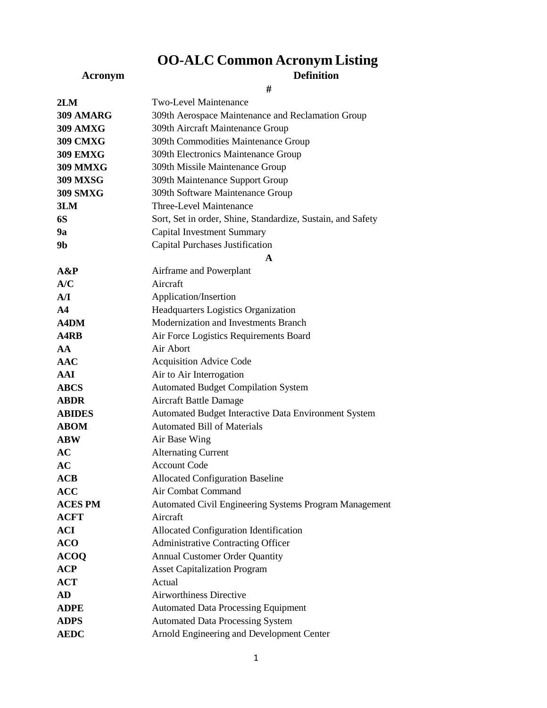## **OO-ALC Common Acronym Listing**

## **Acronym Definition**

| ۰.<br>×, |  |
|----------|--|
| e v      |  |
|          |  |
|          |  |

| <b>Two-Level Maintenance</b>                                |
|-------------------------------------------------------------|
| 309th Aerospace Maintenance and Reclamation Group           |
| 309th Aircraft Maintenance Group                            |
| 309th Commodities Maintenance Group                         |
| 309th Electronics Maintenance Group                         |
| 309th Missile Maintenance Group                             |
| 309th Maintenance Support Group                             |
| 309th Software Maintenance Group                            |
| Three-Level Maintenance                                     |
| Sort, Set in order, Shine, Standardize, Sustain, and Safety |
| <b>Capital Investment Summary</b>                           |
| <b>Capital Purchases Justification</b>                      |
| $\mathbf{A}$                                                |
| Airframe and Powerplant                                     |
| Aircraft                                                    |
| Application/Insertion                                       |
| Headquarters Logistics Organization                         |
| Modernization and Investments Branch                        |
| Air Force Logistics Requirements Board                      |
| Air Abort                                                   |
| <b>Acquisition Advice Code</b>                              |
| Air to Air Interrogation                                    |
| <b>Automated Budget Compilation System</b>                  |
| Aircraft Battle Damage                                      |
| Automated Budget Interactive Data Environment System        |
| <b>Automated Bill of Materials</b>                          |
| Air Base Wing                                               |
| <b>Alternating Current</b>                                  |
| <b>Account Code</b>                                         |
| <b>Allocated Configuration Baseline</b>                     |
| <b>Air Combat Command</b>                                   |
| Automated Civil Engineering Systems Program Management      |
| Aircraft                                                    |
| Allocated Configuration Identification                      |
| <b>Administrative Contracting Officer</b>                   |
| <b>Annual Customer Order Quantity</b>                       |
| <b>Asset Capitalization Program</b>                         |
| Actual                                                      |
| <b>Airworthiness Directive</b>                              |
| <b>Automated Data Processing Equipment</b>                  |
| <b>Automated Data Processing System</b>                     |
| Arnold Engineering and Development Center                   |
|                                                             |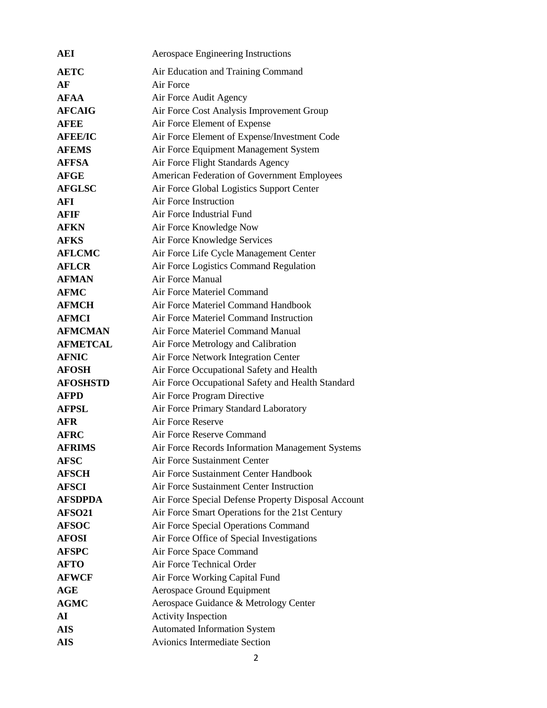| AEI                | Aerospace Engineering Instructions                                                      |
|--------------------|-----------------------------------------------------------------------------------------|
| <b>AETC</b>        | Air Education and Training Command                                                      |
| AF                 | Air Force                                                                               |
| <b>AFAA</b>        | Air Force Audit Agency                                                                  |
| <b>AFCAIG</b>      | Air Force Cost Analysis Improvement Group                                               |
| <b>AFEE</b>        | Air Force Element of Expense                                                            |
| <b>AFEE/IC</b>     | Air Force Element of Expense/Investment Code                                            |
| <b>AFEMS</b>       | Air Force Equipment Management System                                                   |
| <b>AFFSA</b>       | Air Force Flight Standards Agency                                                       |
| <b>AFGE</b>        | American Federation of Government Employees                                             |
| <b>AFGLSC</b>      | Air Force Global Logistics Support Center                                               |
| AFI                | <b>Air Force Instruction</b>                                                            |
| AFIF               | Air Force Industrial Fund                                                               |
| <b>AFKN</b>        | Air Force Knowledge Now                                                                 |
| <b>AFKS</b>        | Air Force Knowledge Services                                                            |
| <b>AFLCMC</b>      | Air Force Life Cycle Management Center                                                  |
| <b>AFLCR</b>       | Air Force Logistics Command Regulation                                                  |
| <b>AFMAN</b>       | Air Force Manual                                                                        |
| <b>AFMC</b>        | Air Force Materiel Command                                                              |
| <b>AFMCH</b>       | Air Force Materiel Command Handbook                                                     |
| <b>AFMCI</b>       | Air Force Materiel Command Instruction                                                  |
| <b>AFMCMAN</b>     | Air Force Materiel Command Manual                                                       |
| <b>AFMETCAL</b>    | Air Force Metrology and Calibration                                                     |
| <b>AFNIC</b>       | Air Force Network Integration Center                                                    |
| <b>AFOSH</b>       | Air Force Occupational Safety and Health                                                |
| <b>AFOSHSTD</b>    |                                                                                         |
| <b>AFPD</b>        | Air Force Occupational Safety and Health Standard<br>Air Force Program Directive        |
| <b>AFPSL</b>       |                                                                                         |
| AFR                | Air Force Primary Standard Laboratory<br>Air Force Reserve                              |
| <b>AFRC</b>        | Air Force Reserve Command                                                               |
| <b>AFRIMS</b>      |                                                                                         |
| <b>AFSC</b>        | Air Force Records Information Management Systems<br><b>Air Force Sustainment Center</b> |
| <b>AFSCH</b>       | Air Force Sustainment Center Handbook                                                   |
| <b>AFSCI</b>       | Air Force Sustainment Center Instruction                                                |
| <b>AFSDPDA</b>     |                                                                                         |
| AFSO <sub>21</sub> | Air Force Special Defense Property Disposal Account                                     |
| <b>AFSOC</b>       | Air Force Smart Operations for the 21st Century<br>Air Force Special Operations Command |
| <b>AFOSI</b>       |                                                                                         |
|                    | Air Force Office of Special Investigations                                              |
| <b>AFSPC</b>       | Air Force Space Command<br>Air Force Technical Order                                    |
| <b>AFTO</b>        |                                                                                         |
| <b>AFWCF</b>       | Air Force Working Capital Fund                                                          |
| AGE                | <b>Aerospace Ground Equipment</b>                                                       |
| <b>AGMC</b>        | Aerospace Guidance & Metrology Center                                                   |
| AI                 | <b>Activity Inspection</b>                                                              |
| <b>AIS</b>         | <b>Automated Information System</b>                                                     |
| <b>AIS</b>         | <b>Avionics Intermediate Section</b>                                                    |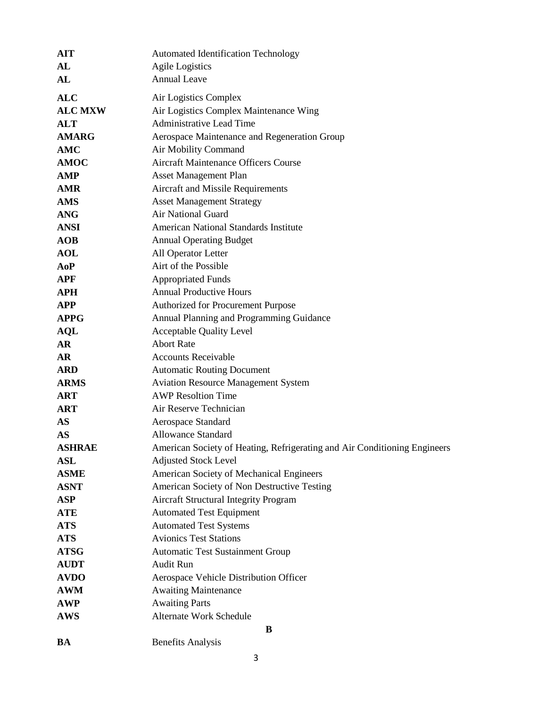| <b>AIT</b>     | <b>Automated Identification Technology</b>                                |
|----------------|---------------------------------------------------------------------------|
| AL             | <b>Agile Logistics</b>                                                    |
| AL             | <b>Annual Leave</b>                                                       |
| <b>ALC</b>     | Air Logistics Complex                                                     |
| <b>ALC MXW</b> | Air Logistics Complex Maintenance Wing                                    |
| <b>ALT</b>     | <b>Administrative Lead Time</b>                                           |
| <b>AMARG</b>   | Aerospace Maintenance and Regeneration Group                              |
| AMC            | Air Mobility Command                                                      |
| <b>AMOC</b>    | <b>Aircraft Maintenance Officers Course</b>                               |
| <b>AMP</b>     | <b>Asset Management Plan</b>                                              |
| <b>AMR</b>     | Aircraft and Missile Requirements                                         |
| <b>AMS</b>     | <b>Asset Management Strategy</b>                                          |
| <b>ANG</b>     | Air National Guard                                                        |
| <b>ANSI</b>    | <b>American National Standards Institute</b>                              |
| <b>AOB</b>     | <b>Annual Operating Budget</b>                                            |
| <b>AOL</b>     | All Operator Letter                                                       |
| AoP            | Airt of the Possible                                                      |
| <b>APF</b>     | <b>Appropriated Funds</b>                                                 |
| <b>APH</b>     | <b>Annual Productive Hours</b>                                            |
| <b>APP</b>     | Authorized for Procurement Purpose                                        |
| <b>APPG</b>    | Annual Planning and Programming Guidance                                  |
| <b>AQL</b>     | <b>Acceptable Quality Level</b>                                           |
| <b>AR</b>      | <b>Abort Rate</b>                                                         |
| AR             | <b>Accounts Receivable</b>                                                |
| <b>ARD</b>     | <b>Automatic Routing Document</b>                                         |
| <b>ARMS</b>    | <b>Aviation Resource Management System</b>                                |
| <b>ART</b>     | <b>AWP Resoltion Time</b>                                                 |
| <b>ART</b>     | Air Reserve Technician                                                    |
| <b>AS</b>      | Aerospace Standard                                                        |
| <b>AS</b>      | <b>Allowance Standard</b>                                                 |
| <b>ASHRAE</b>  | American Society of Heating, Refrigerating and Air Conditioning Engineers |
| <b>ASL</b>     | <b>Adjusted Stock Level</b>                                               |
| <b>ASME</b>    | American Society of Mechanical Engineers                                  |
| <b>ASNT</b>    | American Society of Non Destructive Testing                               |
| <b>ASP</b>     | <b>Aircraft Structural Integrity Program</b>                              |
| <b>ATE</b>     | <b>Automated Test Equipment</b>                                           |
| <b>ATS</b>     | <b>Automated Test Systems</b>                                             |
| <b>ATS</b>     | <b>Avionics Test Stations</b>                                             |
| <b>ATSG</b>    | <b>Automatic Test Sustainment Group</b>                                   |
| <b>AUDT</b>    | <b>Audit Run</b>                                                          |
| <b>AVDO</b>    | Aerospace Vehicle Distribution Officer                                    |
| <b>AWM</b>     | <b>Awaiting Maintenance</b>                                               |
| <b>AWP</b>     | <b>Awaiting Parts</b>                                                     |
| <b>AWS</b>     | Alternate Work Schedule                                                   |
|                | B                                                                         |
| <b>BA</b>      | <b>Benefits Analysis</b>                                                  |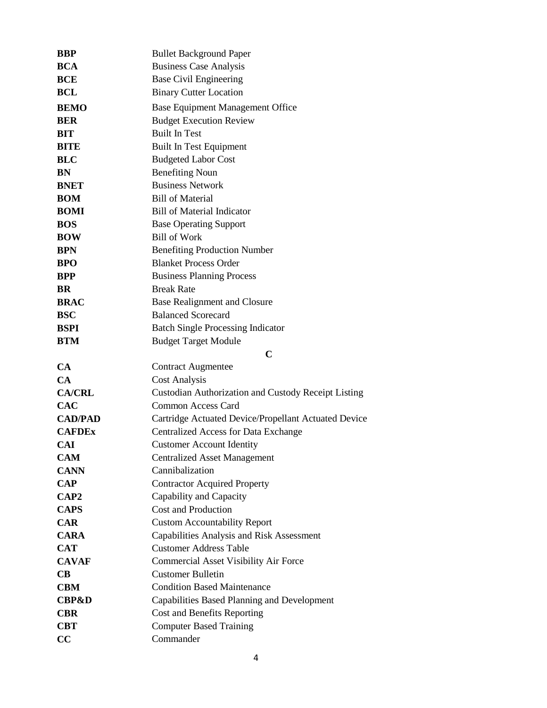| <b>BBP</b>       | <b>Bullet Background Paper</b>                             |
|------------------|------------------------------------------------------------|
| <b>BCA</b>       | <b>Business Case Analysis</b>                              |
| <b>BCE</b>       | <b>Base Civil Engineering</b>                              |
| BCL              | <b>Binary Cutter Location</b>                              |
| <b>BEMO</b>      | <b>Base Equipment Management Office</b>                    |
| <b>BER</b>       | <b>Budget Execution Review</b>                             |
| <b>BIT</b>       | <b>Built In Test</b>                                       |
| <b>BITE</b>      | <b>Built In Test Equipment</b>                             |
| <b>BLC</b>       | <b>Budgeted Labor Cost</b>                                 |
| BN               | <b>Benefiting Noun</b>                                     |
| <b>BNET</b>      | <b>Business Network</b>                                    |
| <b>BOM</b>       | <b>Bill of Material</b>                                    |
| <b>BOMI</b>      | <b>Bill of Material Indicator</b>                          |
| <b>BOS</b>       | <b>Base Operating Support</b>                              |
| <b>BOW</b>       | <b>Bill of Work</b>                                        |
| <b>BPN</b>       | <b>Benefiting Production Number</b>                        |
| <b>BPO</b>       | <b>Blanket Process Order</b>                               |
| <b>BPP</b>       | <b>Business Planning Process</b>                           |
| <b>BR</b>        | <b>Break Rate</b>                                          |
| <b>BRAC</b>      | Base Realignment and Closure                               |
| <b>BSC</b>       | <b>Balanced Scorecard</b>                                  |
| <b>BSPI</b>      | <b>Batch Single Processing Indicator</b>                   |
| <b>BTM</b>       | <b>Budget Target Module</b>                                |
|                  | $\mathbf C$                                                |
| CA               | <b>Contract Augmentee</b>                                  |
| CA               | <b>Cost Analysis</b>                                       |
|                  | <b>Custodian Authorization and Custody Receipt Listing</b> |
| <b>CA/CRL</b>    |                                                            |
| <b>CAC</b>       | <b>Common Access Card</b>                                  |
| <b>CAD/PAD</b>   | Cartridge Actuated Device/Propellant Actuated Device       |
| <b>CAFDEx</b>    | <b>Centralized Access for Data Exchange</b>                |
| <b>CAI</b>       | <b>Customer Account Identity</b>                           |
| <b>CAM</b>       | <b>Centralized Asset Management</b>                        |
| <b>CANN</b>      | Cannibalization                                            |
| <b>CAP</b>       | <b>Contractor Acquired Property</b>                        |
| CAP <sub>2</sub> | Capability and Capacity                                    |
| <b>CAPS</b>      | <b>Cost and Production</b>                                 |
| <b>CAR</b>       | <b>Custom Accountability Report</b>                        |
| <b>CARA</b>      | Capabilities Analysis and Risk Assessment                  |
| <b>CAT</b>       | <b>Customer Address Table</b>                              |
| <b>CAVAF</b>     | <b>Commercial Asset Visibility Air Force</b>               |
| <b>CB</b>        | <b>Customer Bulletin</b>                                   |
| <b>CBM</b>       | <b>Condition Based Maintenance</b>                         |
| <b>CBP&amp;D</b> | Capabilities Based Planning and Development                |
| <b>CBR</b>       | Cost and Benefits Reporting                                |
| <b>CBT</b><br>CC | <b>Computer Based Training</b><br>Commander                |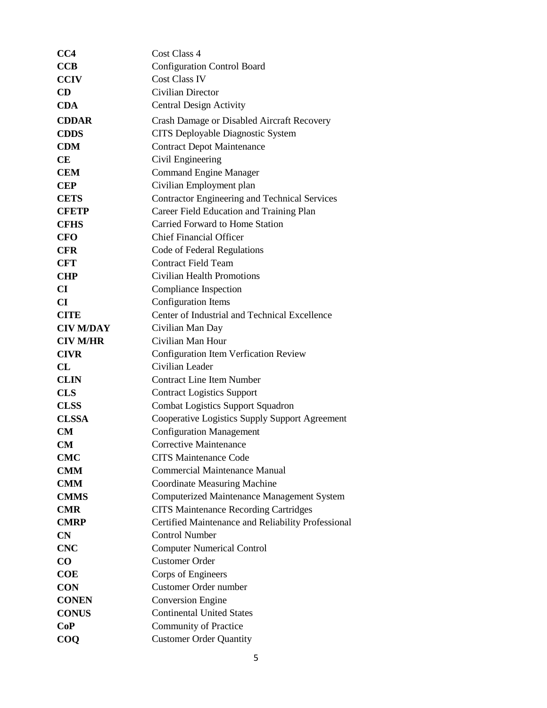| CC4                    | Cost Class 4                                         |
|------------------------|------------------------------------------------------|
| <b>CCB</b>             | <b>Configuration Control Board</b>                   |
| <b>CCIV</b>            | <b>Cost Class IV</b>                                 |
| <b>CD</b>              | <b>Civilian Director</b>                             |
| <b>CDA</b>             | <b>Central Design Activity</b>                       |
| <b>CDDAR</b>           | Crash Damage or Disabled Aircraft Recovery           |
| <b>CDDS</b>            | CITS Deployable Diagnostic System                    |
| <b>CDM</b>             | <b>Contract Depot Maintenance</b>                    |
| <b>CE</b>              | Civil Engineering                                    |
| <b>CEM</b>             | <b>Command Engine Manager</b>                        |
| <b>CEP</b>             | Civilian Employment plan                             |
| <b>CETS</b>            | <b>Contractor Engineering and Technical Services</b> |
| <b>CFETP</b>           | Career Field Education and Training Plan             |
| <b>CFHS</b>            | Carried Forward to Home Station                      |
| <b>CFO</b>             | <b>Chief Financial Officer</b>                       |
| <b>CFR</b>             | Code of Federal Regulations                          |
| <b>CFT</b>             | <b>Contract Field Team</b>                           |
| <b>CHP</b>             | <b>Civilian Health Promotions</b>                    |
| $\mathbf{C}\mathbf{I}$ | Compliance Inspection                                |
| CI                     | <b>Configuration Items</b>                           |
| <b>CITE</b>            | Center of Industrial and Technical Excellence        |
| <b>CIV M/DAY</b>       | Civilian Man Day                                     |
| <b>CIV M/HR</b>        | Civilian Man Hour                                    |
| <b>CIVR</b>            | Configuration Item Verfication Review                |
| CL                     | Civilian Leader                                      |
| <b>CLIN</b>            | <b>Contract Line Item Number</b>                     |
| <b>CLS</b>             | <b>Contract Logistics Support</b>                    |
| <b>CLSS</b>            | <b>Combat Logistics Support Squadron</b>             |
| <b>CLSSA</b>           | Cooperative Logistics Supply Support Agreement       |
| CM                     | <b>Configuration Management</b>                      |
| <b>CM</b>              | Corrective Maintenance                               |
| <b>CMC</b>             | <b>CITS Maintenance Code</b>                         |
| <b>CMM</b>             | <b>Commercial Maintenance Manual</b>                 |
| <b>CMM</b>             | <b>Coordinate Measuring Machine</b>                  |
| <b>CMMS</b>            | Computerized Maintenance Management System           |
| <b>CMR</b>             | <b>CITS Maintenance Recording Cartridges</b>         |
| <b>CMRP</b>            | Certified Maintenance and Reliability Professional   |
| CN                     | <b>Control Number</b>                                |
| <b>CNC</b>             | <b>Computer Numerical Control</b>                    |
| $\bf CO$               | <b>Customer Order</b>                                |
| <b>COE</b>             | Corps of Engineers                                   |
| <b>CON</b>             | Customer Order number                                |
| <b>CONEN</b>           | <b>Conversion Engine</b>                             |
| <b>CONUS</b>           | <b>Continental United States</b>                     |
| CoP                    | <b>Community of Practice</b>                         |
| $\bf COO$              | <b>Customer Order Quantity</b>                       |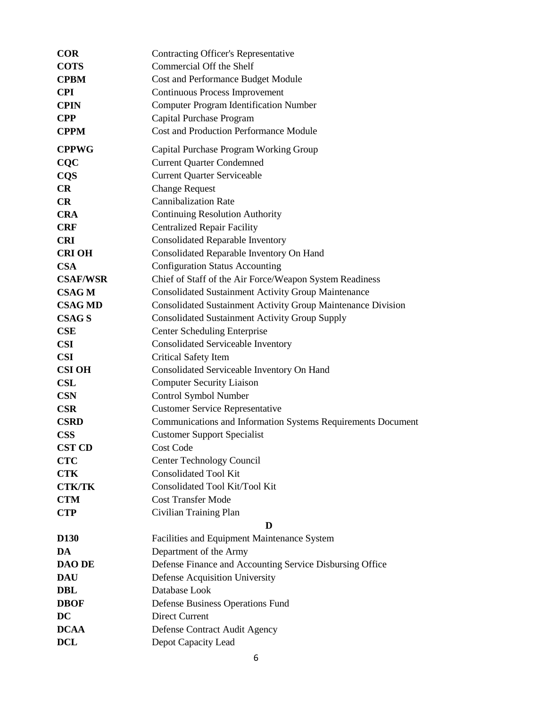| <b>COR</b>       | <b>Contracting Officer's Representative</b>                  |
|------------------|--------------------------------------------------------------|
| <b>COTS</b>      | Commercial Off the Shelf                                     |
| <b>CPBM</b>      | Cost and Performance Budget Module                           |
| <b>CPI</b>       | Continuous Process Improvement                               |
| <b>CPIN</b>      | <b>Computer Program Identification Number</b>                |
| <b>CPP</b>       | Capital Purchase Program                                     |
| <b>CPPM</b>      | <b>Cost and Production Performance Module</b>                |
| <b>CPPWG</b>     | Capital Purchase Program Working Group                       |
| CQC              | <b>Current Quarter Condemned</b>                             |
| <b>CQS</b>       | <b>Current Quarter Serviceable</b>                           |
| CR               | <b>Change Request</b>                                        |
| <b>CR</b>        | <b>Cannibalization Rate</b>                                  |
| <b>CRA</b>       | <b>Continuing Resolution Authority</b>                       |
| <b>CRF</b>       | <b>Centralized Repair Facility</b>                           |
| <b>CRI</b>       | <b>Consolidated Reparable Inventory</b>                      |
| <b>CRI OH</b>    | Consolidated Reparable Inventory On Hand                     |
| <b>CSA</b>       | <b>Configuration Status Accounting</b>                       |
| <b>CSAF/WSR</b>  | Chief of Staff of the Air Force/Weapon System Readiness      |
| <b>CSAG M</b>    | <b>Consolidated Sustainment Activity Group Maintenance</b>   |
| <b>CSAG MD</b>   | Consolidated Sustainment Activity Group Maintenance Division |
| <b>CSAG S</b>    | <b>Consolidated Sustainment Activity Group Supply</b>        |
| CSE              | <b>Center Scheduling Enterprise</b>                          |
| <b>CSI</b>       | <b>Consolidated Serviceable Inventory</b>                    |
| <b>CSI</b>       | Critical Safety Item                                         |
| <b>CSI OH</b>    | Consolidated Serviceable Inventory On Hand                   |
| <b>CSL</b>       | <b>Computer Security Liaison</b>                             |
| <b>CSN</b>       | Control Symbol Number                                        |
| <b>CSR</b>       | <b>Customer Service Representative</b>                       |
| <b>CSRD</b>      | Communications and Information Systems Requirements Document |
| <b>CSS</b>       | <b>Customer Support Specialist</b>                           |
| <b>CST CD</b>    | Cost Code                                                    |
| <b>CTC</b>       | <b>Center Technology Council</b>                             |
| <b>CTK</b>       | <b>Consolidated Tool Kit</b>                                 |
| <b>CTK/TK</b>    | Consolidated Tool Kit/Tool Kit                               |
| <b>CTM</b>       | <b>Cost Transfer Mode</b>                                    |
| <b>CTP</b>       | Civilian Training Plan                                       |
|                  | D                                                            |
| D <sub>130</sub> | Facilities and Equipment Maintenance System                  |
| DA               | Department of the Army                                       |
| <b>DAO DE</b>    | Defense Finance and Accounting Service Disbursing Office     |
| <b>DAU</b>       | Defense Acquisition University                               |
| <b>DBL</b>       | Database Look                                                |
| <b>DBOF</b>      | Defense Business Operations Fund                             |
| DC               | <b>Direct Current</b>                                        |
| <b>DCAA</b>      | Defense Contract Audit Agency                                |
| <b>DCL</b>       | Depot Capacity Lead                                          |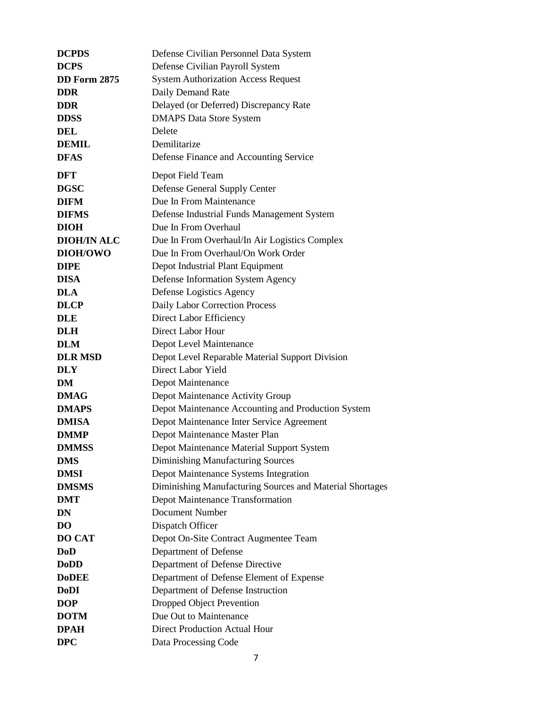| <b>DCPDS</b>        | Defense Civilian Personnel Data System                         |
|---------------------|----------------------------------------------------------------|
| <b>DCPS</b>         | Defense Civilian Payroll System                                |
| <b>DD Form 2875</b> | <b>System Authorization Access Request</b>                     |
| <b>DDR</b>          | Daily Demand Rate                                              |
| <b>DDR</b>          | Delayed (or Deferred) Discrepancy Rate                         |
| <b>DDSS</b>         | <b>DMAPS Data Store System</b>                                 |
| <b>DEL</b>          | Delete                                                         |
| <b>DEMIL</b>        | Demilitarize                                                   |
| <b>DFAS</b>         | Defense Finance and Accounting Service                         |
| <b>DFT</b>          | Depot Field Team                                               |
| <b>DGSC</b>         | Defense General Supply Center                                  |
| <b>DIFM</b>         | Due In From Maintenance                                        |
| <b>DIFMS</b>        | Defense Industrial Funds Management System                     |
| <b>DIOH</b>         | Due In From Overhaul                                           |
| <b>DIOH/IN ALC</b>  | Due In From Overhaul/In Air Logistics Complex                  |
| DIOH/OWO            | Due In From Overhaul/On Work Order                             |
| <b>DIPE</b>         | Depot Industrial Plant Equipment                               |
| <b>DISA</b>         | Defense Information System Agency                              |
| <b>DLA</b>          | Defense Logistics Agency                                       |
| <b>DLCP</b>         | Daily Labor Correction Process                                 |
| <b>DLE</b>          | Direct Labor Efficiency                                        |
| <b>DLH</b>          | Direct Labor Hour                                              |
| <b>DLM</b>          | Depot Level Maintenance                                        |
| <b>DLR MSD</b>      | Depot Level Reparable Material Support Division                |
| <b>DLY</b>          | Direct Labor Yield                                             |
| DM                  | Depot Maintenance                                              |
| <b>DMAG</b>         | Depot Maintenance Activity Group                               |
| <b>DMAPS</b>        | Depot Maintenance Accounting and Production System             |
| <b>DMISA</b>        | Depot Maintenance Inter Service Agreement                      |
| <b>DMMP</b>         | Depot Maintenance Master Plan                                  |
| <b>DMMSS</b>        | Depot Maintenance Material Support System                      |
| <b>DMS</b>          | <b>Diminishing Manufacturing Sources</b>                       |
| <b>DMSI</b>         | Depot Maintenance Systems Integration                          |
| <b>DMSMS</b>        | Diminishing Manufacturing Sources and Material Shortages       |
| <b>DMT</b>          | Depot Maintenance Transformation                               |
| DN                  | <b>Document Number</b>                                         |
| <b>DO</b>           | Dispatch Officer                                               |
| <b>DO CAT</b>       | Depot On-Site Contract Augmentee Team                          |
| <b>DoD</b>          | Department of Defense                                          |
| <b>DoDD</b>         | Department of Defense Directive                                |
| <b>DoDEE</b>        | Department of Defense Element of Expense                       |
| <b>DoDI</b>         | Department of Defense Instruction                              |
| <b>DOP</b>          | Dropped Object Prevention                                      |
| <b>DOTM</b>         | Due Out to Maintenance<br><b>Direct Production Actual Hour</b> |
| <b>DPAH</b>         |                                                                |
| <b>DPC</b>          | Data Processing Code                                           |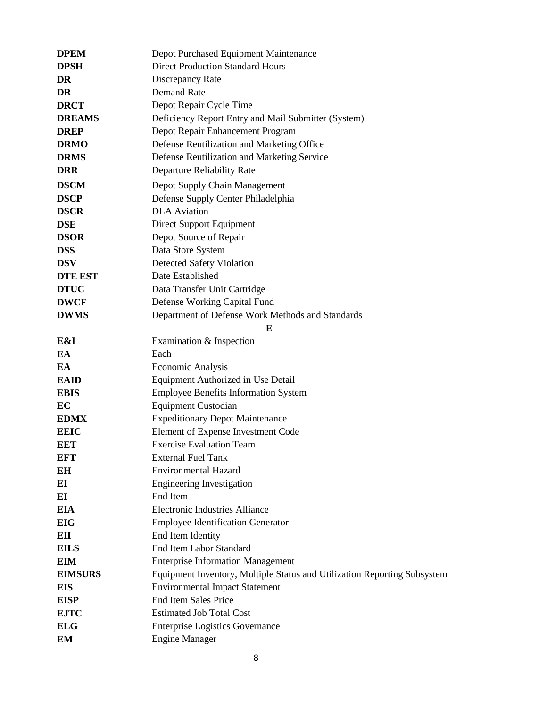| <b>DPEM</b>    | Depot Purchased Equipment Maintenance                                    |
|----------------|--------------------------------------------------------------------------|
| <b>DPSH</b>    | <b>Direct Production Standard Hours</b>                                  |
| DR             | Discrepancy Rate                                                         |
| DR             | <b>Demand Rate</b>                                                       |
| <b>DRCT</b>    | Depot Repair Cycle Time                                                  |
| <b>DREAMS</b>  | Deficiency Report Entry and Mail Submitter (System)                      |
| <b>DREP</b>    | Depot Repair Enhancement Program                                         |
| <b>DRMO</b>    | Defense Reutilization and Marketing Office                               |
| <b>DRMS</b>    | Defense Reutilization and Marketing Service                              |
| <b>DRR</b>     | Departure Reliability Rate                                               |
| <b>DSCM</b>    | Depot Supply Chain Management                                            |
| <b>DSCP</b>    | Defense Supply Center Philadelphia                                       |
| <b>DSCR</b>    | <b>DLA</b> Aviation                                                      |
| <b>DSE</b>     | Direct Support Equipment                                                 |
| <b>DSOR</b>    | Depot Source of Repair                                                   |
| <b>DSS</b>     | Data Store System                                                        |
| <b>DSV</b>     | <b>Detected Safety Violation</b>                                         |
| <b>DTE EST</b> | Date Established                                                         |
| <b>DTUC</b>    | Data Transfer Unit Cartridge                                             |
| <b>DWCF</b>    | Defense Working Capital Fund                                             |
| <b>DWMS</b>    | Department of Defense Work Methods and Standards                         |
|                | E                                                                        |
| E&I            | Examination & Inspection                                                 |
| EA             | Each                                                                     |
| EA             | <b>Economic Analysis</b>                                                 |
| <b>EAID</b>    | Equipment Authorized in Use Detail                                       |
| <b>EBIS</b>    | <b>Employee Benefits Information System</b>                              |
| EC             | <b>Equipment Custodian</b>                                               |
| <b>EDMX</b>    | <b>Expeditionary Depot Maintenance</b>                                   |
| <b>EEIC</b>    | Element of Expense Investment Code                                       |
| EET            | <b>Exercise Evaluation Team</b>                                          |
| <b>EFT</b>     | <b>External Fuel Tank</b>                                                |
| EH             | <b>Environmental Hazard</b>                                              |
| EI             | <b>Engineering Investigation</b>                                         |
| EI             | End Item                                                                 |
| <b>EIA</b>     | <b>Electronic Industries Alliance</b>                                    |
| <b>EIG</b>     | <b>Employee Identification Generator</b>                                 |
| EП             | End Item Identity                                                        |
| <b>EILS</b>    | <b>End Item Labor Standard</b>                                           |
| <b>EIM</b>     | <b>Enterprise Information Management</b>                                 |
| <b>EIMSURS</b> | Equipment Inventory, Multiple Status and Utilization Reporting Subsystem |
| <b>EIS</b>     | <b>Environmental Impact Statement</b>                                    |
| <b>EISP</b>    | <b>End Item Sales Price</b>                                              |
| <b>EJTC</b>    | <b>Estimated Job Total Cost</b>                                          |
| <b>ELG</b>     | <b>Enterprise Logistics Governance</b>                                   |
| EM             | <b>Engine Manager</b>                                                    |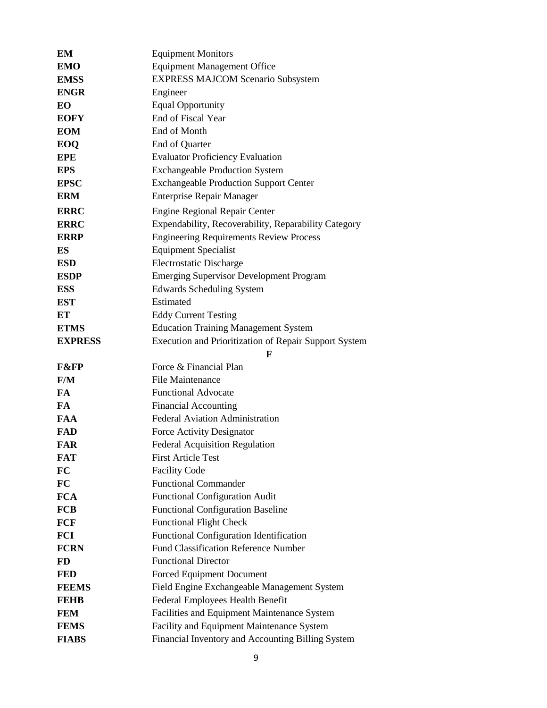| EM                          | <b>Equipment Monitors</b>                                                                      |
|-----------------------------|------------------------------------------------------------------------------------------------|
| <b>EMO</b>                  | <b>Equipment Management Office</b>                                                             |
| <b>EMSS</b>                 | <b>EXPRESS MAJCOM Scenario Subsystem</b>                                                       |
| <b>ENGR</b>                 | Engineer                                                                                       |
| EO                          | <b>Equal Opportunity</b>                                                                       |
| <b>EOFY</b>                 | End of Fiscal Year                                                                             |
| <b>EOM</b>                  | End of Month                                                                                   |
| EOQ                         | End of Quarter                                                                                 |
| <b>EPE</b>                  | <b>Evaluator Proficiency Evaluation</b>                                                        |
| <b>EPS</b>                  | <b>Exchangeable Production System</b>                                                          |
| <b>EPSC</b>                 | <b>Exchangeable Production Support Center</b>                                                  |
| <b>ERM</b>                  | <b>Enterprise Repair Manager</b>                                                               |
| <b>ERRC</b>                 | <b>Engine Regional Repair Center</b>                                                           |
| <b>ERRC</b>                 | Expendability, Recoverability, Reparability Category                                           |
| <b>ERRP</b>                 | <b>Engineering Requirements Review Process</b>                                                 |
| ES                          | <b>Equipment Specialist</b>                                                                    |
| <b>ESD</b>                  | <b>Electrostatic Discharge</b>                                                                 |
| <b>ESDP</b>                 | <b>Emerging Supervisor Development Program</b>                                                 |
| <b>ESS</b>                  | <b>Edwards Scheduling System</b>                                                               |
| <b>EST</b>                  | Estimated                                                                                      |
| ET                          | <b>Eddy Current Testing</b>                                                                    |
| <b>ETMS</b>                 | <b>Education Training Management System</b>                                                    |
| <b>EXPRESS</b>              | Execution and Prioritization of Repair Support System                                          |
|                             |                                                                                                |
|                             | $\mathbf{F}$                                                                                   |
| <b>F&amp;FP</b>             | Force & Financial Plan                                                                         |
| F/M                         | <b>File Maintenance</b>                                                                        |
| FA                          | <b>Functional Advocate</b>                                                                     |
| FA                          | <b>Financial Accounting</b>                                                                    |
| <b>FAA</b>                  | <b>Federal Aviation Administration</b>                                                         |
| <b>FAD</b>                  | Force Activity Designator                                                                      |
| FAR                         | <b>Federal Acquisition Regulation</b>                                                          |
| <b>FAT</b>                  | <b>First Article Test</b>                                                                      |
| FC                          | <b>Facility Code</b>                                                                           |
| FC                          | <b>Functional Commander</b>                                                                    |
| <b>FCA</b>                  | <b>Functional Configuration Audit</b>                                                          |
| <b>FCB</b>                  | <b>Functional Configuration Baseline</b>                                                       |
| <b>FCF</b>                  | <b>Functional Flight Check</b>                                                                 |
| FCI                         | <b>Functional Configuration Identification</b>                                                 |
| <b>FCRN</b>                 | <b>Fund Classification Reference Number</b>                                                    |
| <b>FD</b>                   | <b>Functional Director</b>                                                                     |
| <b>FED</b>                  | <b>Forced Equipment Document</b>                                                               |
| <b>FEEMS</b>                | Field Engine Exchangeable Management System                                                    |
| <b>FEHB</b>                 | Federal Employees Health Benefit                                                               |
| <b>FEM</b>                  | Facilities and Equipment Maintenance System                                                    |
| <b>FEMS</b><br><b>FIABS</b> | Facility and Equipment Maintenance System<br>Financial Inventory and Accounting Billing System |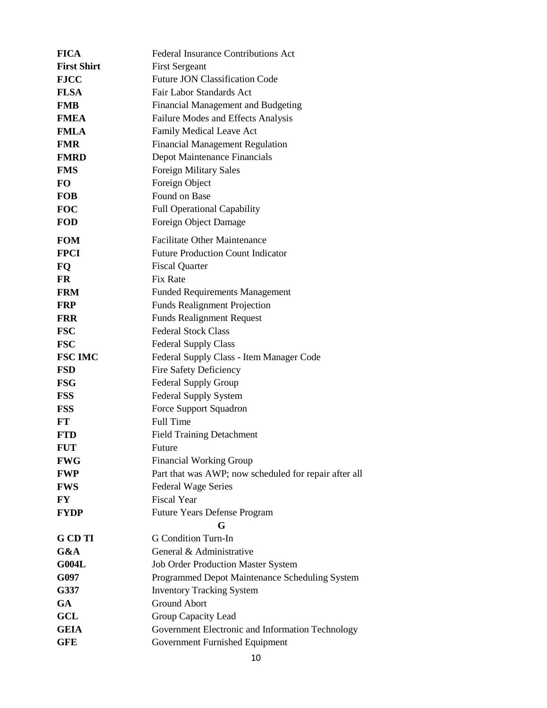| <b>FICA</b>        | <b>Federal Insurance Contributions Act</b>            |
|--------------------|-------------------------------------------------------|
| <b>First Shirt</b> | <b>First Sergeant</b>                                 |
| <b>FJCC</b>        | <b>Future JON Classification Code</b>                 |
| <b>FLSA</b>        | Fair Labor Standards Act                              |
| <b>FMB</b>         | Financial Management and Budgeting                    |
| <b>FMEA</b>        | Failure Modes and Effects Analysis                    |
| <b>FMLA</b>        | Family Medical Leave Act                              |
| <b>FMR</b>         | <b>Financial Management Regulation</b>                |
| <b>FMRD</b>        | Depot Maintenance Financials                          |
| <b>FMS</b>         | <b>Foreign Military Sales</b>                         |
| <b>FO</b>          | Foreign Object                                        |
| <b>FOB</b>         | Found on Base                                         |
| <b>FOC</b>         | <b>Full Operational Capability</b>                    |
| <b>FOD</b>         | Foreign Object Damage                                 |
| <b>FOM</b>         | <b>Facilitate Other Maintenance</b>                   |
| <b>FPCI</b>        | <b>Future Production Count Indicator</b>              |
| FQ                 | <b>Fiscal Quarter</b>                                 |
| <b>FR</b>          | Fix Rate                                              |
| <b>FRM</b>         | <b>Funded Requirements Management</b>                 |
| <b>FRP</b>         | <b>Funds Realignment Projection</b>                   |
| <b>FRR</b>         | <b>Funds Realignment Request</b>                      |
| <b>FSC</b>         | <b>Federal Stock Class</b>                            |
| <b>FSC</b>         | <b>Federal Supply Class</b>                           |
| <b>FSC IMC</b>     | Federal Supply Class - Item Manager Code              |
| <b>FSD</b>         | Fire Safety Deficiency                                |
| <b>FSG</b>         | <b>Federal Supply Group</b>                           |
| <b>FSS</b>         | <b>Federal Supply System</b>                          |
| <b>FSS</b>         | Force Support Squadron                                |
| FT                 | <b>Full Time</b>                                      |
| <b>FTD</b>         | <b>Field Training Detachment</b>                      |
| <b>FUT</b>         | Future                                                |
| <b>FWG</b>         | <b>Financial Working Group</b>                        |
| <b>FWP</b>         | Part that was AWP; now scheduled for repair after all |
| <b>FWS</b>         | <b>Federal Wage Series</b>                            |
| FY                 | <b>Fiscal Year</b>                                    |
| <b>FYDP</b>        | <b>Future Years Defense Program</b><br>G              |
| <b>G</b> CD TI     | <b>G</b> Condition Turn-In                            |
| G&A                | General & Administrative                              |
| <b>G004L</b>       | <b>Job Order Production Master System</b>             |
| G097               | Programmed Depot Maintenance Scheduling System        |
| G337               | <b>Inventory Tracking System</b>                      |
| <b>GA</b>          | <b>Ground Abort</b>                                   |
| <b>GCL</b>         | Group Capacity Lead                                   |
| <b>GEIA</b>        | Government Electronic and Information Technology      |
| <b>GFE</b>         | Government Furnished Equipment                        |
|                    |                                                       |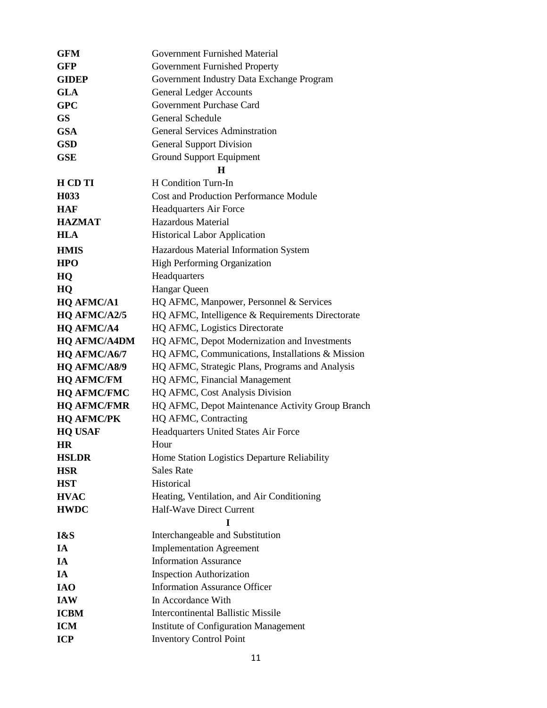| <b>GFM</b>          | Government Furnished Material                    |
|---------------------|--------------------------------------------------|
| GFP                 | Government Furnished Property                    |
| <b>GIDEP</b>        | Government Industry Data Exchange Program        |
| <b>GLA</b>          | <b>General Ledger Accounts</b>                   |
| <b>GPC</b>          | Government Purchase Card                         |
| <b>GS</b>           | General Schedule                                 |
| <b>GSA</b>          | <b>General Services Adminstration</b>            |
| <b>GSD</b>          | <b>General Support Division</b>                  |
| <b>GSE</b>          | Ground Support Equipment                         |
|                     | н                                                |
| H CD TI             | H Condition Turn-In                              |
| H <sub>0</sub> 33   | <b>Cost and Production Performance Module</b>    |
| <b>HAF</b>          | <b>Headquarters Air Force</b>                    |
| <b>HAZMAT</b>       | <b>Hazardous Material</b>                        |
| <b>HLA</b>          | <b>Historical Labor Application</b>              |
| <b>HMIS</b>         | Hazardous Material Information System            |
| <b>HPO</b>          | <b>High Performing Organization</b>              |
| HQ                  | Headquarters                                     |
| HQ                  | Hangar Queen                                     |
| <b>HQ AFMC/A1</b>   | HQ AFMC, Manpower, Personnel & Services          |
| HQ AFMC/A2/5        | HQ AFMC, Intelligence & Requirements Directorate |
| <b>HQ AFMC/A4</b>   | HQ AFMC, Logistics Directorate                   |
| <b>HQ AFMC/A4DM</b> | HQ AFMC, Depot Modernization and Investments     |
| HQ AFMC/A6/7        | HQ AFMC, Communications, Installations & Mission |
| <b>HQ AFMC/A8/9</b> | HQ AFMC, Strategic Plans, Programs and Analysis  |
| <b>HQ AFMC/FM</b>   | HQ AFMC, Financial Management                    |
| <b>HQ AFMC/FMC</b>  | HQ AFMC, Cost Analysis Division                  |
| <b>HQ AFMC/FMR</b>  | HQ AFMC, Depot Maintenance Activity Group Branch |
| <b>HQ AFMC/PK</b>   | HQ AFMC, Contracting                             |
| <b>HQ USAF</b>      | Headquarters United States Air Force             |
| HR                  | Hour                                             |
| <b>HSLDR</b>        | Home Station Logistics Departure Reliability     |
| <b>HSR</b>          | <b>Sales Rate</b>                                |
| <b>HST</b>          | Historical                                       |
| <b>HVAC</b>         | Heating, Ventilation, and Air Conditioning       |
| <b>HWDC</b>         | Half-Wave Direct Current                         |
|                     | I                                                |
| I&S                 | Interchangeable and Substitution                 |
| IA                  | <b>Implementation Agreement</b>                  |
| IA                  | <b>Information Assurance</b>                     |
| IA                  | <b>Inspection Authorization</b>                  |
| <b>IAO</b>          | <b>Information Assurance Officer</b>             |
| <b>IAW</b>          | In Accordance With                               |
| <b>ICBM</b>         | <b>Intercontinental Ballistic Missile</b>        |
| <b>ICM</b>          | <b>Institute of Configuration Management</b>     |
| <b>ICP</b>          | <b>Inventory Control Point</b>                   |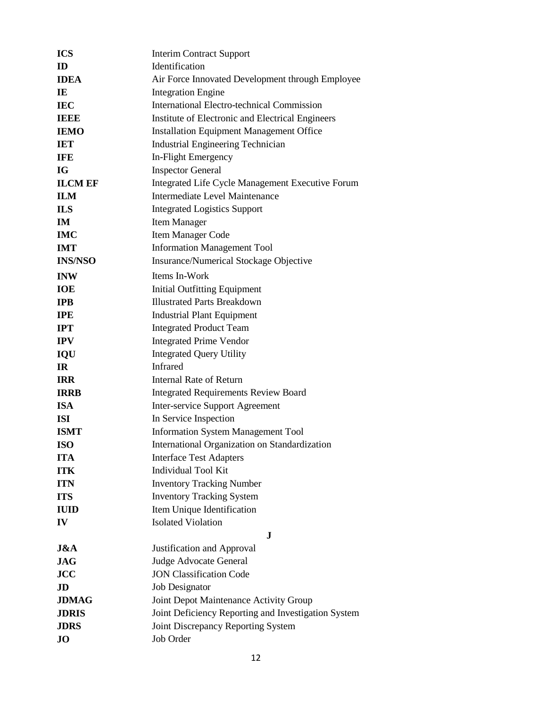| <b>ICS</b>     | <b>Interim Contract Support</b>                     |
|----------------|-----------------------------------------------------|
| ID             | Identification                                      |
| <b>IDEA</b>    | Air Force Innovated Development through Employee    |
| IE             | <b>Integration Engine</b>                           |
| <b>IEC</b>     | <b>International Electro-technical Commission</b>   |
| <b>IEEE</b>    | Institute of Electronic and Electrical Engineers    |
| <b>IEMO</b>    | <b>Installation Equipment Management Office</b>     |
| <b>IET</b>     | <b>Industrial Engineering Technician</b>            |
| <b>IFE</b>     | In-Flight Emergency                                 |
| IG             | <b>Inspector General</b>                            |
| <b>ILCM EF</b> | Integrated Life Cycle Management Executive Forum    |
| <b>ILM</b>     | Intermediate Level Maintenance                      |
| <b>ILS</b>     | <b>Integrated Logistics Support</b>                 |
| IM             | <b>Item Manager</b>                                 |
| <b>IMC</b>     | Item Manager Code                                   |
| <b>IMT</b>     | <b>Information Management Tool</b>                  |
| <b>INS/NSO</b> | <b>Insurance/Numerical Stockage Objective</b>       |
| <b>INW</b>     | Items In-Work                                       |
| <b>IOE</b>     | <b>Initial Outfitting Equipment</b>                 |
| <b>IPB</b>     | <b>Illustrated Parts Breakdown</b>                  |
| <b>IPE</b>     | <b>Industrial Plant Equipment</b>                   |
| <b>IPT</b>     | <b>Integrated Product Team</b>                      |
| <b>IPV</b>     | <b>Integrated Prime Vendor</b>                      |
| IQU            | <b>Integrated Query Utility</b>                     |
| <b>IR</b>      | <b>Infrared</b>                                     |
| <b>IRR</b>     | <b>Internal Rate of Return</b>                      |
| <b>IRRB</b>    | <b>Integrated Requirements Review Board</b>         |
| <b>ISA</b>     | Inter-service Support Agreement                     |
| <b>ISI</b>     | In Service Inspection                               |
| <b>ISMT</b>    | <b>Information System Management Tool</b>           |
| <b>ISO</b>     | International Organization on Standardization       |
| <b>ITA</b>     | <b>Interface Test Adapters</b>                      |
| <b>ITK</b>     | <b>Individual Tool Kit</b>                          |
| <b>ITN</b>     | <b>Inventory Tracking Number</b>                    |
| <b>ITS</b>     | <b>Inventory Tracking System</b>                    |
| <b>IUID</b>    | Item Unique Identification                          |
| IV             | <b>Isolated Violation</b>                           |
|                | J.                                                  |
| J&A            | Justification and Approval                          |
| <b>JAG</b>     | Judge Advocate General                              |
| <b>JCC</b>     | <b>JON Classification Code</b>                      |
| JD             | <b>Job Designator</b>                               |
| <b>JDMAG</b>   | Joint Depot Maintenance Activity Group              |
| <b>JDRIS</b>   | Joint Deficiency Reporting and Investigation System |
| <b>JDRS</b>    | Joint Discrepancy Reporting System                  |
| $\bf{J}$       | Job Order                                           |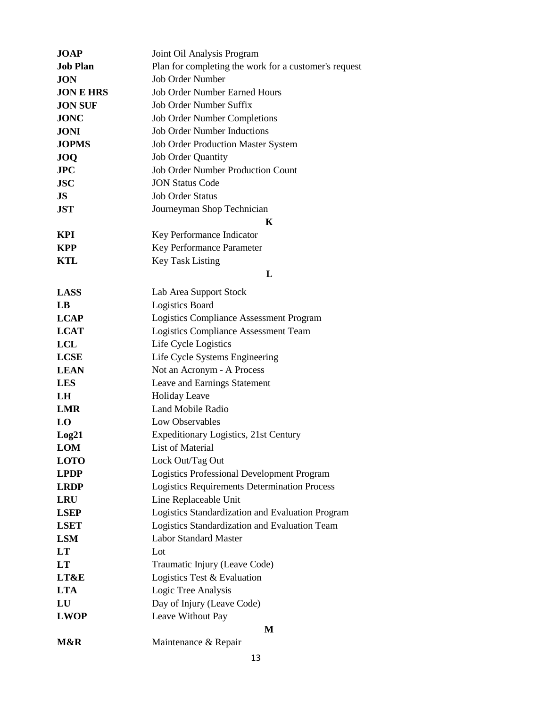| <b>JOAP</b>      | Joint Oil Analysis Program                            |
|------------------|-------------------------------------------------------|
| <b>Job Plan</b>  | Plan for completing the work for a customer's request |
| <b>JON</b>       | <b>Job Order Number</b>                               |
| <b>JON E HRS</b> | <b>Job Order Number Earned Hours</b>                  |
| <b>JON SUF</b>   | <b>Job Order Number Suffix</b>                        |
| <b>JONC</b>      | <b>Job Order Number Completions</b>                   |
| <b>JONI</b>      | <b>Job Order Number Inductions</b>                    |
| <b>JOPMS</b>     | <b>Job Order Production Master System</b>             |
| <b>JOQ</b>       | <b>Job Order Quantity</b>                             |
| JPC              | <b>Job Order Number Production Count</b>              |
| <b>JSC</b>       | <b>JON Status Code</b>                                |
| JS               | <b>Job Order Status</b>                               |
| <b>JST</b>       | Journeyman Shop Technician                            |
|                  | K                                                     |
| <b>KPI</b>       | Key Performance Indicator                             |
| <b>KPP</b>       | Key Performance Parameter                             |
| <b>KTL</b>       | <b>Key Task Listing</b>                               |
|                  | L                                                     |
| <b>LASS</b>      | Lab Area Support Stock                                |
| LB               | <b>Logistics Board</b>                                |
| <b>LCAP</b>      | Logistics Compliance Assessment Program               |
| <b>LCAT</b>      | Logistics Compliance Assessment Team                  |
| <b>LCL</b>       | Life Cycle Logistics                                  |
| <b>LCSE</b>      | Life Cycle Systems Engineering                        |
| <b>LEAN</b>      | Not an Acronym - A Process                            |
| <b>LES</b>       | Leave and Earnings Statement                          |
| LH               | <b>Holiday Leave</b>                                  |
| <b>LMR</b>       | Land Mobile Radio                                     |
| LO               | Low Observables                                       |
| Log21            | <b>Expeditionary Logistics, 21st Century</b>          |
| <b>LOM</b>       | List of Material                                      |
| <b>LOTO</b>      | Lock Out/Tag Out                                      |
| <b>LPDP</b>      | <b>Logistics Professional Development Program</b>     |
| <b>LRDP</b>      | <b>Logistics Requirements Determination Process</b>   |
| <b>LRU</b>       | Line Replaceable Unit                                 |
| <b>LSEP</b>      | Logistics Standardization and Evaluation Program      |
| <b>LSET</b>      | Logistics Standardization and Evaluation Team         |
| <b>LSM</b>       | <b>Labor Standard Master</b>                          |
| LT               | Lot                                                   |
| LT               | Traumatic Injury (Leave Code)                         |
| LT&E             | Logistics Test & Evaluation                           |
| <b>LTA</b>       | Logic Tree Analysis                                   |
| LU               | Day of Injury (Leave Code)                            |
| <b>LWOP</b>      | Leave Without Pay                                     |
|                  | M                                                     |
| M&R              | Maintenance & Repair                                  |
|                  |                                                       |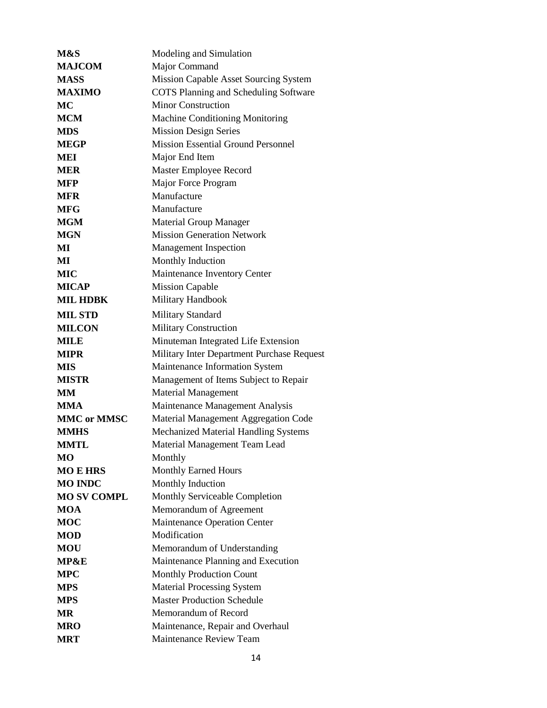| M&S                | Modeling and Simulation                      |
|--------------------|----------------------------------------------|
| <b>MAJCOM</b>      | Major Command                                |
| <b>MASS</b>        | <b>Mission Capable Asset Sourcing System</b> |
| <b>MAXIMO</b>      | <b>COTS Planning and Scheduling Software</b> |
| <b>MC</b>          | <b>Minor Construction</b>                    |
| <b>MCM</b>         | Machine Conditioning Monitoring              |
| <b>MDS</b>         | <b>Mission Design Series</b>                 |
| <b>MEGP</b>        | <b>Mission Essential Ground Personnel</b>    |
| MEI                | Major End Item                               |
| <b>MER</b>         | Master Employee Record                       |
| <b>MFP</b>         | Major Force Program                          |
| <b>MFR</b>         | Manufacture                                  |
| <b>MFG</b>         | Manufacture                                  |
| <b>MGM</b>         | <b>Material Group Manager</b>                |
| <b>MGN</b>         | <b>Mission Generation Network</b>            |
| MI                 | <b>Management Inspection</b>                 |
| MI                 | Monthly Induction                            |
| <b>MIC</b>         | Maintenance Inventory Center                 |
| <b>MICAP</b>       | <b>Mission Capable</b>                       |
| <b>MIL HDBK</b>    | Military Handbook                            |
| <b>MIL STD</b>     | <b>Military Standard</b>                     |
| <b>MILCON</b>      | <b>Military Construction</b>                 |
| <b>MILE</b>        | Minuteman Integrated Life Extension          |
| <b>MIPR</b>        | Military Inter Department Purchase Request   |
| <b>MIS</b>         | Maintenance Information System               |
| <b>MISTR</b>       | Management of Items Subject to Repair        |
| MМ                 | <b>Material Management</b>                   |
| <b>MMA</b>         | Maintenance Management Analysis              |
| <b>MMC or MMSC</b> | Material Management Aggregation Code         |
| <b>MMHS</b>        | Mechanized Material Handling Systems         |
| <b>MMTL</b>        | Material Management Team Lead                |
| МO                 | Monthly                                      |
| <b>MO E HRS</b>    | <b>Monthly Earned Hours</b>                  |
| <b>MO INDC</b>     | Monthly Induction                            |
| <b>MO SV COMPL</b> | Monthly Serviceable Completion               |
| <b>MOA</b>         | Memorandum of Agreement                      |
| <b>MOC</b>         | <b>Maintenance Operation Center</b>          |
| <b>MOD</b>         | Modification                                 |
| <b>MOU</b>         | Memorandum of Understanding                  |
| <b>MP&amp;E</b>    | Maintenance Planning and Execution           |
| <b>MPC</b>         | <b>Monthly Production Count</b>              |
| <b>MPS</b>         | <b>Material Processing System</b>            |
| <b>MPS</b>         | <b>Master Production Schedule</b>            |
| MR                 | Memorandum of Record                         |
| <b>MRO</b>         | Maintenance, Repair and Overhaul             |
| MRT                | Maintenance Review Team                      |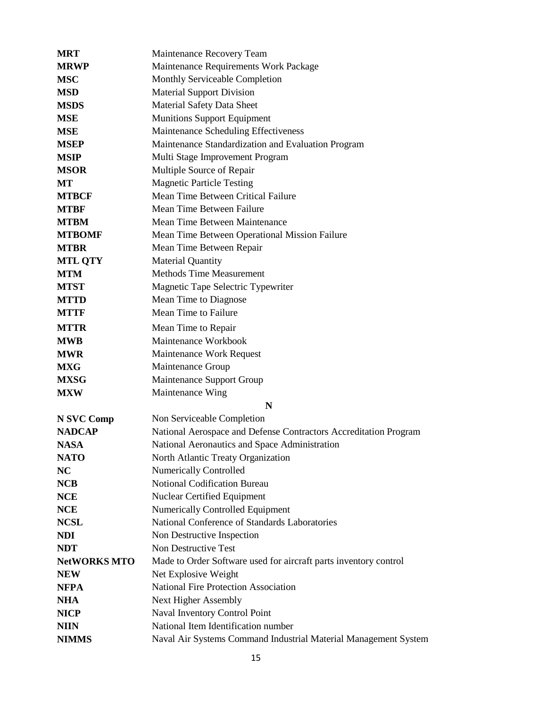| <b>MRT</b>          | Maintenance Recovery Team                                        |
|---------------------|------------------------------------------------------------------|
| <b>MRWP</b>         | Maintenance Requirements Work Package                            |
| <b>MSC</b>          | Monthly Serviceable Completion                                   |
| <b>MSD</b>          | <b>Material Support Division</b>                                 |
| <b>MSDS</b>         | <b>Material Safety Data Sheet</b>                                |
| <b>MSE</b>          | <b>Munitions Support Equipment</b>                               |
| <b>MSE</b>          | Maintenance Scheduling Effectiveness                             |
| <b>MSEP</b>         | Maintenance Standardization and Evaluation Program               |
| <b>MSIP</b>         | Multi Stage Improvement Program                                  |
| <b>MSOR</b>         | Multiple Source of Repair                                        |
| МT                  | <b>Magnetic Particle Testing</b>                                 |
| <b>MTBCF</b>        | Mean Time Between Critical Failure                               |
| <b>MTBF</b>         | Mean Time Between Failure                                        |
| <b>MTBM</b>         | Mean Time Between Maintenance                                    |
| <b>MTBOMF</b>       | Mean Time Between Operational Mission Failure                    |
| <b>MTBR</b>         | Mean Time Between Repair                                         |
| <b>MTL QTY</b>      | <b>Material Quantity</b>                                         |
| <b>MTM</b>          | <b>Methods Time Measurement</b>                                  |
| <b>MTST</b>         | Magnetic Tape Selectric Typewriter                               |
| <b>MTTD</b>         | Mean Time to Diagnose                                            |
| <b>MTTF</b>         | Mean Time to Failure                                             |
| <b>MTTR</b>         | Mean Time to Repair                                              |
| <b>MWB</b>          | Maintenance Workbook                                             |
| <b>MWR</b>          | Maintenance Work Request                                         |
| <b>MXG</b>          | Maintenance Group                                                |
| <b>MXSG</b>         | Maintenance Support Group                                        |
| <b>MXW</b>          | Maintenance Wing                                                 |
|                     | N                                                                |
| N SVC Comp          | Non Serviceable Completion                                       |
| <b>NADCAP</b>       | National Aerospace and Defense Contractors Accreditation Program |
| <b>NASA</b>         | National Aeronautics and Space Administration                    |
| <b>NATO</b>         | North Atlantic Treaty Organization                               |
| NC                  | <b>Numerically Controlled</b>                                    |
| <b>NCB</b>          | <b>Notional Codification Bureau</b>                              |
| <b>NCE</b>          | <b>Nuclear Certified Equipment</b>                               |
| <b>NCE</b>          | <b>Numerically Controlled Equipment</b>                          |
| <b>NCSL</b>         | National Conference of Standards Laboratories                    |
| <b>NDI</b>          | Non Destructive Inspection                                       |
| <b>NDT</b>          | Non Destructive Test                                             |
| <b>NetWORKS MTO</b> | Made to Order Software used for aircraft parts inventory control |
| <b>NEW</b>          | Net Explosive Weight                                             |
| <b>NFPA</b>         | <b>National Fire Protection Association</b>                      |
| <b>NHA</b>          | Next Higher Assembly                                             |
| <b>NICP</b>         | Naval Inventory Control Point                                    |
| <b>NIIN</b>         | National Item Identification number                              |
| <b>NIMMS</b>        | Naval Air Systems Command Industrial Material Management System  |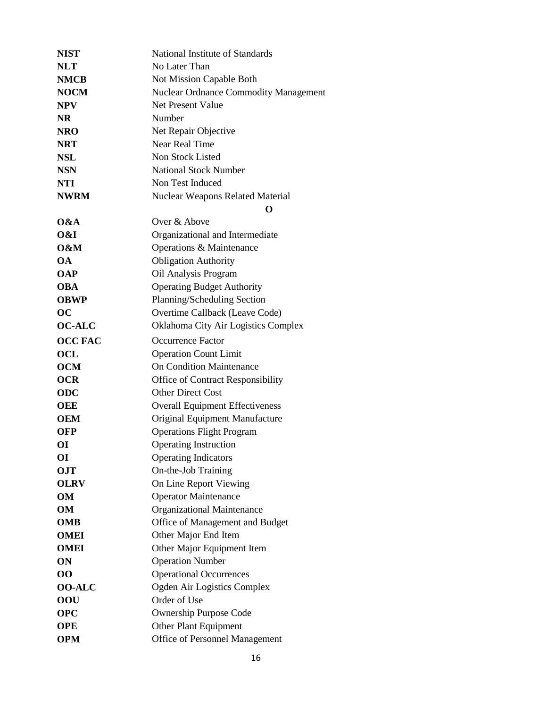| <b>NIST</b>    | National Institute of Standards              |
|----------------|----------------------------------------------|
| <b>NLT</b>     | No Later Than                                |
| <b>NMCB</b>    | Not Mission Capable Both                     |
| <b>NOCM</b>    | <b>Nuclear Ordnance Commodity Management</b> |
| <b>NPV</b>     | <b>Net Present Value</b>                     |
| <b>NR</b>      | Number                                       |
| <b>NRO</b>     | Net Repair Objective                         |
| <b>NRT</b>     | Near Real Time                               |
| <b>NSL</b>     | Non Stock Listed                             |
| <b>NSN</b>     | <b>National Stock Number</b>                 |
| <b>NTI</b>     | Non Test Induced                             |
| <b>NWRM</b>    | <b>Nuclear Weapons Related Material</b>      |
|                | O                                            |
| $\alpha A$     | Over & Above                                 |
| O&I            | Organizational and Intermediate              |
| O&M            | Operations & Maintenance                     |
| <b>OA</b>      | <b>Obligation Authority</b>                  |
| <b>OAP</b>     | Oil Analysis Program                         |
| <b>OBA</b>     | <b>Operating Budget Authority</b>            |
| <b>OBWP</b>    | Planning/Scheduling Section                  |
| oc             | Overtime Callback (Leave Code)               |
| <b>OC-ALC</b>  | Oklahoma City Air Logistics Complex          |
| <b>OCC FAC</b> | <b>Occurrence Factor</b>                     |
| OCL            | <b>Operation Count Limit</b>                 |
| <b>OCM</b>     | <b>On Condition Maintenance</b>              |
| <b>OCR</b>     | Office of Contract Responsibility            |
| <b>ODC</b>     | <b>Other Direct Cost</b>                     |
| OEE            | <b>Overall Equipment Effectiveness</b>       |
| OEM            | Original Equipment Manufacture               |
| OFP            | <b>Operations Flight Program</b>             |
| OІ             | <b>Operating Instruction</b>                 |
| ОI             | <b>Operating Indicators</b>                  |
| OJT            | On-the-Job Training                          |
| <b>OLRV</b>    | On Line Report Viewing                       |
| <b>OM</b>      | <b>Operator Maintenance</b>                  |
| OМ             | Organizational Maintenance                   |
| OMB            | Office of Management and Budget              |
| <b>OMEI</b>    | Other Major End Item                         |
| <b>OMEI</b>    | Other Major Equipment Item                   |
| ON             | <b>Operation Number</b>                      |
| 00             | <b>Operational Occurrences</b>               |
| <b>OO-ALC</b>  | Ogden Air Logistics Complex                  |
| 00U            | Order of Use                                 |
| <b>OPC</b>     | <b>Ownership Purpose Code</b>                |
| OPE            | Other Plant Equipment                        |
| <b>OPM</b>     | Office of Personnel Management               |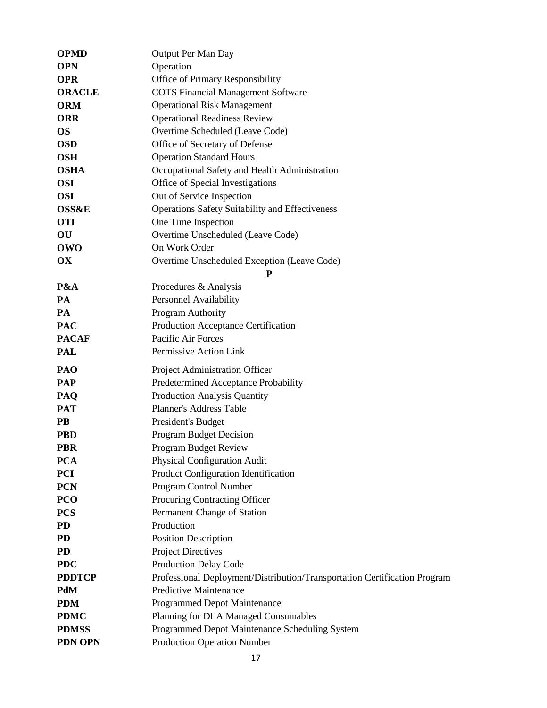| <b>OPMD</b>            | Output Per Man Day                                                        |
|------------------------|---------------------------------------------------------------------------|
| <b>OPN</b>             | Operation                                                                 |
| <b>OPR</b>             | Office of Primary Responsibility                                          |
| <b>ORACLE</b>          | <b>COTS Financial Management Software</b>                                 |
| <b>ORM</b>             | <b>Operational Risk Management</b>                                        |
| <b>ORR</b>             | <b>Operational Readiness Review</b>                                       |
| <b>OS</b>              | Overtime Scheduled (Leave Code)                                           |
| <b>OSD</b>             | Office of Secretary of Defense                                            |
| <b>OSH</b>             | <b>Operation Standard Hours</b>                                           |
| <b>OSHA</b>            | Occupational Safety and Health Administration                             |
| <b>OSI</b>             | Office of Special Investigations                                          |
| <b>OSI</b>             | Out of Service Inspection                                                 |
| <b>OSS&amp;E</b>       | <b>Operations Safety Suitability and Effectiveness</b>                    |
| <b>OTI</b>             | One Time Inspection                                                       |
| $\overline{\text{OU}}$ | Overtime Unscheduled (Leave Code)                                         |
| <b>OWO</b>             | On Work Order                                                             |
| OX                     | Overtime Unscheduled Exception (Leave Code)                               |
|                        | P                                                                         |
| P&A                    | Procedures & Analysis                                                     |
| PA                     | Personnel Availability                                                    |
| PA                     | Program Authority                                                         |
| <b>PAC</b>             | Production Acceptance Certification                                       |
| <b>PACAF</b>           | Pacific Air Forces                                                        |
| <b>PAL</b>             | Permissive Action Link                                                    |
| PAO                    | Project Administration Officer                                            |
| PAP                    | Predetermined Acceptance Probability                                      |
| PAQ                    | <b>Production Analysis Quantity</b>                                       |
| <b>PAT</b>             | <b>Planner's Address Table</b>                                            |
| PB                     | President's Budget                                                        |
| <b>PBD</b>             | <b>Program Budget Decision</b>                                            |
| <b>PBR</b>             | <b>Program Budget Review</b>                                              |
| <b>PCA</b>             | <b>Physical Configuration Audit</b>                                       |
| <b>PCI</b>             | Product Configuration Identification                                      |
| <b>PCN</b>             | Program Control Number                                                    |
| PCO                    | Procuring Contracting Officer                                             |
| <b>PCS</b>             | Permanent Change of Station                                               |
| PD                     | Production                                                                |
| <b>PD</b>              | <b>Position Description</b>                                               |
| <b>PD</b>              | <b>Project Directives</b>                                                 |
| <b>PDC</b>             | <b>Production Delay Code</b>                                              |
| <b>PDDTCP</b>          | Professional Deployment/Distribution/Transportation Certification Program |
| PdM                    | <b>Predictive Maintenance</b>                                             |
| <b>PDM</b>             | Programmed Depot Maintenance                                              |
| <b>PDMC</b>            | Planning for DLA Managed Consumables                                      |
| <b>PDMSS</b>           | Programmed Depot Maintenance Scheduling System                            |
|                        |                                                                           |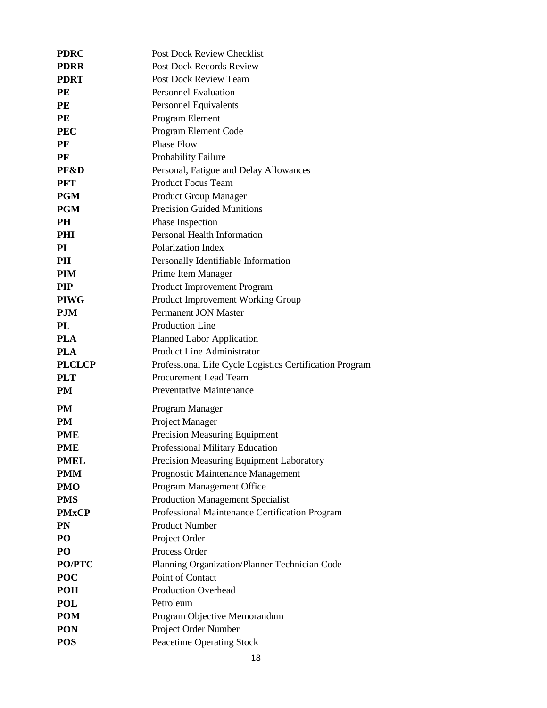| <b>PDRC</b>   | <b>Post Dock Review Checklist</b>                       |
|---------------|---------------------------------------------------------|
| <b>PDRR</b>   | <b>Post Dock Records Review</b>                         |
| <b>PDRT</b>   | <b>Post Dock Review Team</b>                            |
| PE            | <b>Personnel Evaluation</b>                             |
| PE            | Personnel Equivalents                                   |
| PE            | Program Element                                         |
| <b>PEC</b>    | Program Element Code                                    |
| PF            | <b>Phase Flow</b>                                       |
| PF            | Probability Failure                                     |
| PF&D          | Personal, Fatigue and Delay Allowances                  |
| <b>PFT</b>    | <b>Product Focus Team</b>                               |
| <b>PGM</b>    | <b>Product Group Manager</b>                            |
| <b>PGM</b>    | <b>Precision Guided Munitions</b>                       |
| <b>PH</b>     | Phase Inspection                                        |
| <b>PHI</b>    | Personal Health Information                             |
| PI            | Polarization Index                                      |
| PII           | Personally Identifiable Information                     |
| PIM           | Prime Item Manager                                      |
| <b>PIP</b>    | Product Improvement Program                             |
| <b>PIWG</b>   | Product Improvement Working Group                       |
| <b>PJM</b>    | <b>Permanent JON Master</b>                             |
| PL            | <b>Production Line</b>                                  |
| <b>PLA</b>    | <b>Planned Labor Application</b>                        |
| <b>PLA</b>    | Product Line Administrator                              |
| <b>PLCLCP</b> | Professional Life Cycle Logistics Certification Program |
| <b>PLT</b>    | Procurement Lead Team                                   |
| <b>PM</b>     | <b>Preventative Maintenance</b>                         |
| <b>PM</b>     | Program Manager                                         |
| <b>PM</b>     | Project Manager                                         |
| <b>PME</b>    | <b>Precision Measuring Equipment</b>                    |
| <b>PME</b>    | Professional Military Education                         |
| <b>PMEL</b>   | Precision Measuring Equipment Laboratory                |
| <b>PMM</b>    | Prognostic Maintenance Management                       |
| <b>PMO</b>    | Program Management Office                               |
| <b>PMS</b>    | <b>Production Management Specialist</b>                 |
| <b>PMxCP</b>  | Professional Maintenance Certification Program          |
| PN            | <b>Product Number</b>                                   |
| PO            | Project Order                                           |
| PO            | Process Order                                           |
| <b>PO/PTC</b> | Planning Organization/Planner Technician Code           |
| <b>POC</b>    | Point of Contact                                        |
| <b>POH</b>    | <b>Production Overhead</b>                              |
| <b>POL</b>    | Petroleum                                               |
| <b>POM</b>    | Program Objective Memorandum                            |
| <b>PON</b>    | Project Order Number                                    |
| <b>POS</b>    | <b>Peacetime Operating Stock</b>                        |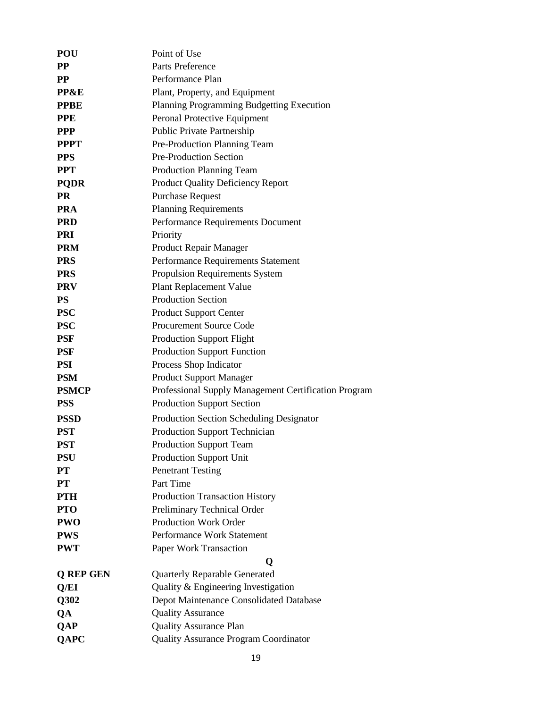| <b>POU</b>       | Point of Use                                         |
|------------------|------------------------------------------------------|
| <b>PP</b>        | Parts Preference                                     |
| $\bf PP$         | Performance Plan                                     |
| PP&E             | Plant, Property, and Equipment                       |
| <b>PPBE</b>      | Planning Programming Budgetting Execution            |
| <b>PPE</b>       | Peronal Protective Equipment                         |
| <b>PPP</b>       | Public Private Partnership                           |
| <b>PPPT</b>      | Pre-Production Planning Team                         |
| <b>PPS</b>       | <b>Pre-Production Section</b>                        |
| <b>PPT</b>       | <b>Production Planning Team</b>                      |
| <b>PQDR</b>      | <b>Product Quality Deficiency Report</b>             |
| <b>PR</b>        | <b>Purchase Request</b>                              |
| <b>PRA</b>       | <b>Planning Requirements</b>                         |
| <b>PRD</b>       | Performance Requirements Document                    |
| <b>PRI</b>       | Priority                                             |
| <b>PRM</b>       | Product Repair Manager                               |
| <b>PRS</b>       | Performance Requirements Statement                   |
| <b>PRS</b>       | Propulsion Requirements System                       |
| <b>PRV</b>       | <b>Plant Replacement Value</b>                       |
| <b>PS</b>        | <b>Production Section</b>                            |
| <b>PSC</b>       | <b>Product Support Center</b>                        |
| <b>PSC</b>       | <b>Procurement Source Code</b>                       |
| <b>PSF</b>       | <b>Production Support Flight</b>                     |
| <b>PSF</b>       | <b>Production Support Function</b>                   |
| <b>PSI</b>       | Process Shop Indicator                               |
| <b>PSM</b>       | <b>Product Support Manager</b>                       |
| <b>PSMCP</b>     | Professional Supply Management Certification Program |
| <b>PSS</b>       | <b>Production Support Section</b>                    |
| <b>PSSD</b>      | <b>Production Section Scheduling Designator</b>      |
| <b>PST</b>       | <b>Production Support Technician</b>                 |
| <b>PST</b>       | <b>Production Support Team</b>                       |
| <b>PSU</b>       | <b>Production Support Unit</b>                       |
| <b>PT</b>        | <b>Penetrant Testing</b>                             |
| <b>PT</b>        | Part Time                                            |
| <b>PTH</b>       | <b>Production Transaction History</b>                |
| <b>PTO</b>       | Preliminary Technical Order                          |
| <b>PWO</b>       | <b>Production Work Order</b>                         |
| <b>PWS</b>       | Performance Work Statement                           |
| <b>PWT</b>       | Paper Work Transaction                               |
|                  | Q                                                    |
| <b>Q REP GEN</b> | <b>Quarterly Reparable Generated</b>                 |
| Q/EI             | Quality & Engineering Investigation                  |
| Q302             | Depot Maintenance Consolidated Database              |
| QA               | <b>Quality Assurance</b>                             |
| <b>QAP</b>       | <b>Quality Assurance Plan</b>                        |
| <b>QAPC</b>      | <b>Quality Assurance Program Coordinator</b>         |
|                  |                                                      |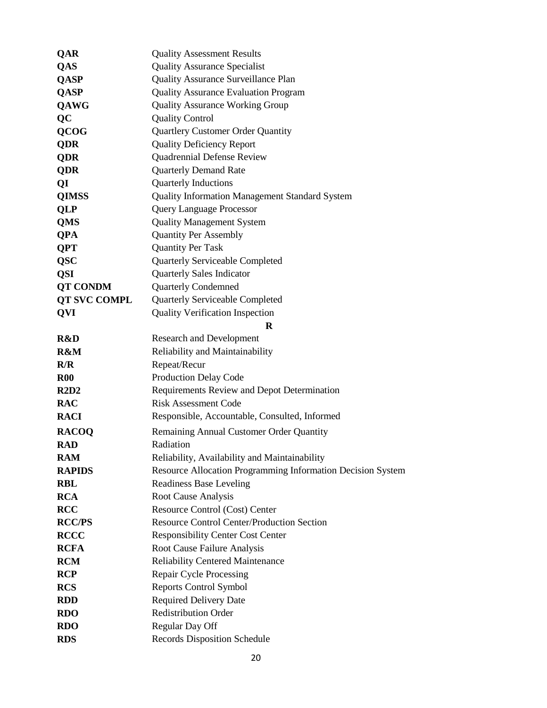| <b>QAR</b>          | <b>Quality Assessment Results</b>                           |
|---------------------|-------------------------------------------------------------|
| QAS                 | <b>Quality Assurance Specialist</b>                         |
| <b>QASP</b>         | <b>Quality Assurance Surveillance Plan</b>                  |
| <b>QASP</b>         | <b>Quality Assurance Evaluation Program</b>                 |
| <b>QAWG</b>         | <b>Quality Assurance Working Group</b>                      |
| <b>QC</b>           | <b>Quality Control</b>                                      |
| <b>QCOG</b>         | Quartlery Customer Order Quantity                           |
| QDR                 | <b>Quality Deficiency Report</b>                            |
| <b>QDR</b>          | Quadrennial Defense Review                                  |
| <b>QDR</b>          | <b>Quarterly Demand Rate</b>                                |
| QI                  | <b>Quarterly Inductions</b>                                 |
| <b>QIMSS</b>        | <b>Quality Information Management Standard System</b>       |
| <b>QLP</b>          | <b>Query Language Processor</b>                             |
| <b>QMS</b>          | <b>Quality Management System</b>                            |
| <b>QPA</b>          | <b>Quantity Per Assembly</b>                                |
| <b>QPT</b>          | <b>Quantity Per Task</b>                                    |
| <b>QSC</b>          | <b>Quarterly Serviceable Completed</b>                      |
| <b>QSI</b>          | <b>Quarterly Sales Indicator</b>                            |
| <b>QT CONDM</b>     | <b>Quarterly Condemned</b>                                  |
| <b>QT SVC COMPL</b> | <b>Quarterly Serviceable Completed</b>                      |
| <b>QVI</b>          | <b>Quality Verification Inspection</b>                      |
|                     | $\bf{R}$                                                    |
| R&D                 | <b>Research and Development</b>                             |
| R&M                 | Reliability and Maintainability                             |
| R/R                 | Repeat/Recur                                                |
| <b>R00</b>          | Production Delay Code                                       |
| R2D2                | Requirements Review and Depot Determination                 |
| <b>RAC</b>          | <b>Risk Assessment Code</b>                                 |
| <b>RACI</b>         | Responsible, Accountable, Consulted, Informed               |
| <b>RACOQ</b>        | Remaining Annual Customer Order Quantity                    |
| <b>RAD</b>          | Radiation                                                   |
| <b>RAM</b>          | Reliability, Availability and Maintainability               |
| <b>RAPIDS</b>       | Resource Allocation Programming Information Decision System |
| <b>RBL</b>          | <b>Readiness Base Leveling</b>                              |
| <b>RCA</b>          | <b>Root Cause Analysis</b>                                  |
| <b>RCC</b>          | Resource Control (Cost) Center                              |
| <b>RCC/PS</b>       | <b>Resource Control Center/Production Section</b>           |
| <b>RCCC</b>         | <b>Responsibility Center Cost Center</b>                    |
| <b>RCFA</b>         | Root Cause Failure Analysis                                 |
| <b>RCM</b>          | <b>Reliability Centered Maintenance</b>                     |
| <b>RCP</b>          | Repair Cycle Processing                                     |
| <b>RCS</b>          | <b>Reports Control Symbol</b>                               |
| <b>RDD</b>          | <b>Required Delivery Date</b>                               |
| <b>RDO</b>          | <b>Redistribution Order</b>                                 |
| <b>RDO</b>          | Regular Day Off                                             |
| <b>RDS</b>          | <b>Records Disposition Schedule</b>                         |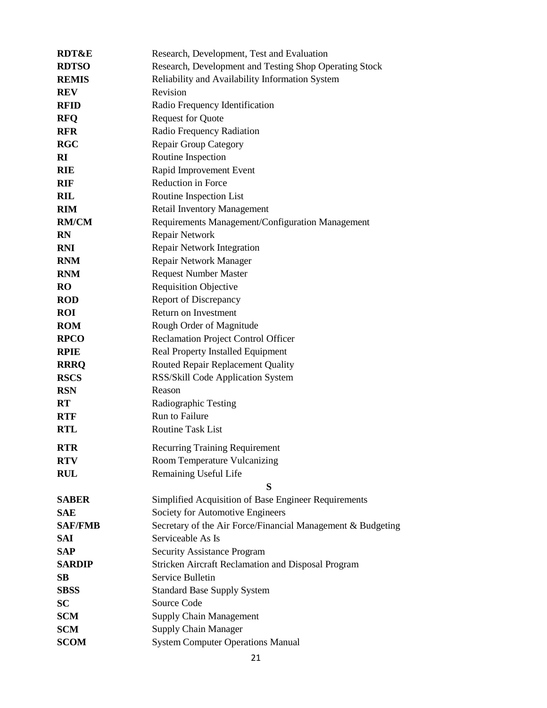| <b>RDT&amp;E</b>       | Research, Development, Test and Evaluation                  |
|------------------------|-------------------------------------------------------------|
| <b>RDTSO</b>           | Research, Development and Testing Shop Operating Stock      |
| <b>REMIS</b>           | Reliability and Availability Information System             |
| <b>REV</b>             | Revision                                                    |
| <b>RFID</b>            | Radio Frequency Identification                              |
| <b>RFO</b>             | <b>Request for Quote</b>                                    |
| <b>RFR</b>             | Radio Frequency Radiation                                   |
| <b>RGC</b>             | <b>Repair Group Category</b>                                |
| RI                     | Routine Inspection                                          |
| <b>RIE</b>             | Rapid Improvement Event                                     |
| <b>RIF</b>             | <b>Reduction in Force</b>                                   |
| <b>RIL</b>             | Routine Inspection List                                     |
| <b>RIM</b>             | <b>Retail Inventory Management</b>                          |
| <b>RM/CM</b>           | Requirements Management/Configuration Management            |
| <b>RN</b>              | Repair Network                                              |
| <b>RNI</b>             | Repair Network Integration                                  |
| <b>RNM</b>             | Repair Network Manager                                      |
| <b>RNM</b>             | <b>Request Number Master</b>                                |
| <b>RO</b>              | <b>Requisition Objective</b>                                |
| <b>ROD</b>             | <b>Report of Discrepancy</b>                                |
| <b>ROI</b>             | Return on Investment                                        |
| <b>ROM</b>             | Rough Order of Magnitude                                    |
| <b>RPCO</b>            | Reclamation Project Control Officer                         |
| <b>RPIE</b>            | Real Property Installed Equipment                           |
| <b>RRRQ</b>            | Routed Repair Replacement Quality                           |
| <b>RSCS</b>            | RSS/Skill Code Application System                           |
| <b>RSN</b>             | Reason                                                      |
| <b>RT</b>              | Radiographic Testing                                        |
| <b>RTF</b>             | Run to Failure                                              |
| <b>RTL</b>             | <b>Routine Task List</b>                                    |
| <b>RTR</b>             | <b>Recurring Training Requirement</b>                       |
| <b>RTV</b>             | Room Temperature Vulcanizing                                |
| <b>RUL</b>             | Remaining Useful Life                                       |
|                        | S                                                           |
| <b>SABER</b>           | Simplified Acquisition of Base Engineer Requirements        |
| <b>SAE</b>             | Society for Automotive Engineers                            |
| <b>SAF/FMB</b>         | Secretary of the Air Force/Financial Management & Budgeting |
| <b>SAI</b>             | Serviceable As Is                                           |
| <b>SAP</b>             | <b>Security Assistance Program</b>                          |
| <b>SARDIP</b>          | Stricken Aircraft Reclamation and Disposal Program          |
| $\mathbf{S}\mathbf{B}$ | Service Bulletin                                            |
| <b>SBSS</b>            | <b>Standard Base Supply System</b>                          |
| <b>SC</b>              | Source Code                                                 |
| <b>SCM</b>             | <b>Supply Chain Management</b>                              |
| <b>SCM</b>             | <b>Supply Chain Manager</b>                                 |
| <b>SCOM</b>            | <b>System Computer Operations Manual</b>                    |
|                        |                                                             |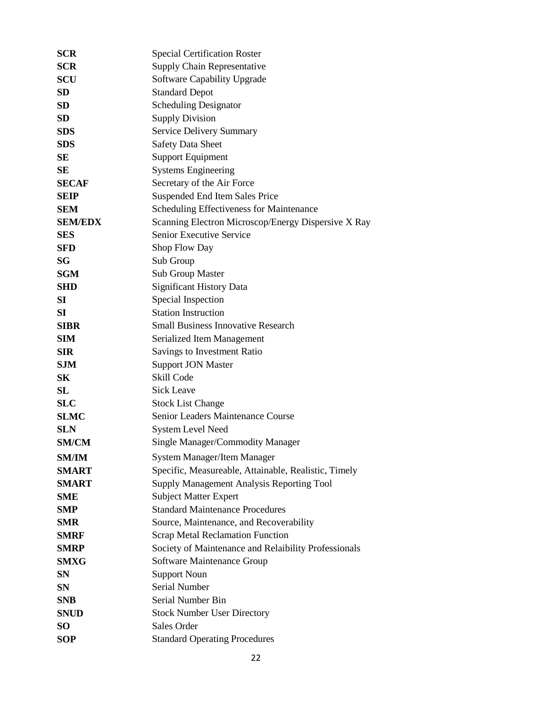| <b>SCR</b>      | <b>Special Certification Roster</b>                  |
|-----------------|------------------------------------------------------|
| <b>SCR</b>      | <b>Supply Chain Representative</b>                   |
| SCU             | Software Capability Upgrade                          |
| SD              | <b>Standard Depot</b>                                |
| SD              | <b>Scheduling Designator</b>                         |
| <b>SD</b>       | <b>Supply Division</b>                               |
| <b>SDS</b>      | Service Delivery Summary                             |
| <b>SDS</b>      | <b>Safety Data Sheet</b>                             |
| <b>SE</b>       | <b>Support Equipment</b>                             |
| <b>SE</b>       | <b>Systems Engineering</b>                           |
| <b>SECAF</b>    | Secretary of the Air Force                           |
| <b>SEIP</b>     | Suspended End Item Sales Price                       |
| <b>SEM</b>      | Scheduling Effectiveness for Maintenance             |
| <b>SEM/EDX</b>  | Scanning Electron Microscop/Energy Dispersive X Ray  |
| <b>SES</b>      | Senior Executive Service                             |
| <b>SFD</b>      | Shop Flow Day                                        |
| <b>SG</b>       | Sub Group                                            |
| <b>SGM</b>      | Sub Group Master                                     |
| SHD             | <b>Significant History Data</b>                      |
| SI              | Special Inspection                                   |
| SI              | <b>Station Instruction</b>                           |
| <b>SIBR</b>     | <b>Small Business Innovative Research</b>            |
| <b>SIM</b>      | Serialized Item Management                           |
| <b>SIR</b>      | Savings to Investment Ratio                          |
| <b>SJM</b>      | <b>Support JON Master</b>                            |
| S <sub>K</sub>  | Skill Code                                           |
| SL              | <b>Sick Leave</b>                                    |
| <b>SLC</b>      | <b>Stock List Change</b>                             |
| <b>SLMC</b>     | Senior Leaders Maintenance Course                    |
| <b>SLN</b>      | <b>System Level Need</b>                             |
| <b>SM/CM</b>    | <b>Single Manager/Commodity Manager</b>              |
| <b>SM/IM</b>    | System Manager/Item Manager                          |
| <b>SMART</b>    | Specific, Measureable, Attainable, Realistic, Timely |
| <b>SMART</b>    | Supply Management Analysis Reporting Tool            |
| SME             | <b>Subject Matter Expert</b>                         |
| SMP             | <b>Standard Maintenance Procedures</b>               |
| <b>SMR</b>      | Source, Maintenance, and Recoverability              |
| SMRF            | <b>Scrap Metal Reclamation Function</b>              |
| <b>SMRP</b>     | Society of Maintenance and Relaibility Professionals |
| <b>SMXG</b>     | <b>Software Maintenance Group</b>                    |
| <b>SN</b>       | <b>Support Noun</b>                                  |
| SN              | <b>Serial Number</b>                                 |
| <b>SNB</b>      | Serial Number Bin                                    |
| <b>SNUD</b>     | <b>Stock Number User Directory</b>                   |
| SO <sub>1</sub> | Sales Order                                          |
| <b>SOP</b>      | <b>Standard Operating Procedures</b>                 |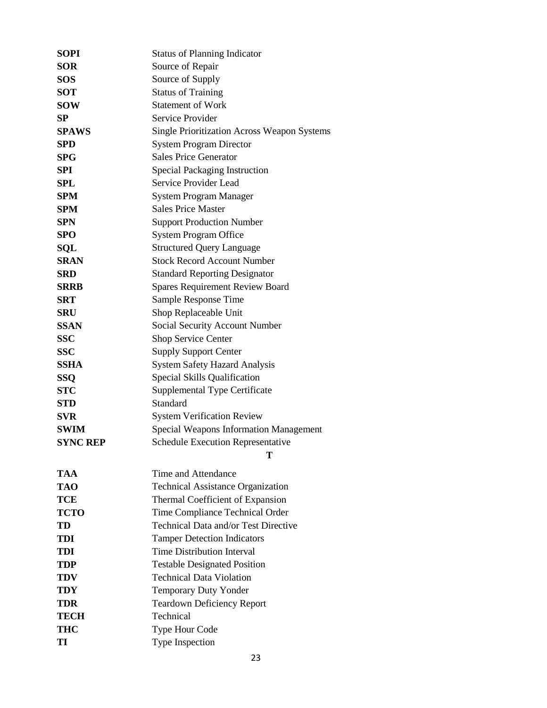| SOPI            | <b>Status of Planning Indicator</b>                |
|-----------------|----------------------------------------------------|
| <b>SOR</b>      | Source of Repair                                   |
| <b>SOS</b>      | Source of Supply                                   |
| <b>SOT</b>      | <b>Status of Training</b>                          |
| <b>SOW</b>      | <b>Statement of Work</b>                           |
| SP              | Service Provider                                   |
| <b>SPAWS</b>    | <b>Single Prioritization Across Weapon Systems</b> |
| <b>SPD</b>      | <b>System Program Director</b>                     |
| <b>SPG</b>      | <b>Sales Price Generator</b>                       |
| <b>SPI</b>      | <b>Special Packaging Instruction</b>               |
| SPL             | Service Provider Lead                              |
| <b>SPM</b>      | System Program Manager                             |
| <b>SPM</b>      | <b>Sales Price Master</b>                          |
| <b>SPN</b>      | <b>Support Production Number</b>                   |
| <b>SPO</b>      | <b>System Program Office</b>                       |
| <b>SQL</b>      | <b>Structured Query Language</b>                   |
| <b>SRAN</b>     | <b>Stock Record Account Number</b>                 |
| <b>SRD</b>      | <b>Standard Reporting Designator</b>               |
| <b>SRRB</b>     | <b>Spares Requirement Review Board</b>             |
| <b>SRT</b>      | Sample Response Time                               |
| <b>SRU</b>      | Shop Replaceable Unit                              |
| <b>SSAN</b>     | Social Security Account Number                     |
| <b>SSC</b>      | Shop Service Center                                |
| <b>SSC</b>      | <b>Supply Support Center</b>                       |
| <b>SSHA</b>     | <b>System Safety Hazard Analysis</b>               |
| <b>SSQ</b>      | Special Skills Qualification                       |
| <b>STC</b>      | Supplemental Type Certificate                      |
| <b>STD</b>      | Standard                                           |
| <b>SVR</b>      | <b>System Verification Review</b>                  |
| <b>SWIM</b>     | <b>Special Weapons Information Management</b>      |
| <b>SYNC REP</b> | <b>Schedule Execution Representative</b>           |
|                 | Т                                                  |
| <b>TAA</b>      | Time and Attendance                                |
| TAO             | <b>Technical Assistance Organization</b>           |
| <b>TCE</b>      | Thermal Coefficient of Expansion                   |
| <b>TCTO</b>     | Time Compliance Technical Order                    |
| TD              | Technical Data and/or Test Directive               |
| <b>TDI</b>      | <b>Tamper Detection Indicators</b>                 |
| TDI             | <b>Time Distribution Interval</b>                  |
| TDP             | <b>Testable Designated Position</b>                |
| TDV             | <b>Technical Data Violation</b>                    |
| TDY             | Temporary Duty Yonder                              |
| TDR             | <b>Teardown Deficiency Report</b>                  |
| TECH            | Technical                                          |
| <b>THC</b>      | Type Hour Code                                     |
| TI              | Type Inspection                                    |
|                 |                                                    |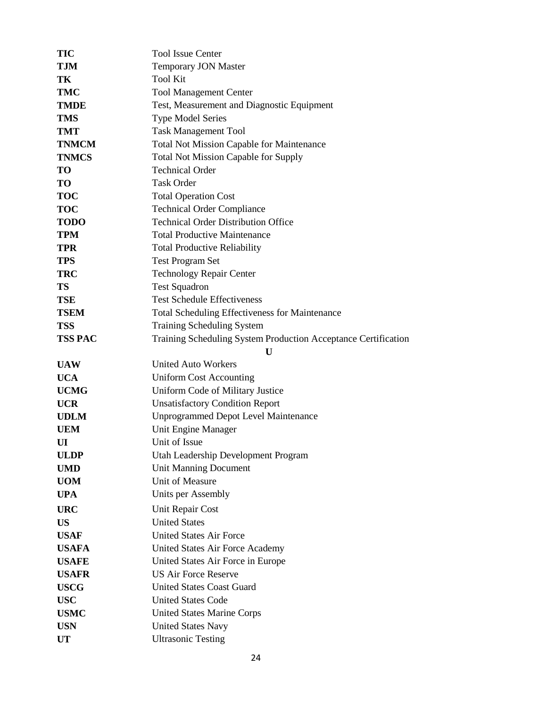| TIC            | <b>Tool Issue Center</b>                                       |
|----------------|----------------------------------------------------------------|
| TJM            | <b>Temporary JON Master</b>                                    |
| TК             | <b>Tool Kit</b>                                                |
| TMC            | <b>Tool Management Center</b>                                  |
| <b>TMDE</b>    | Test, Measurement and Diagnostic Equipment                     |
| TMS            | <b>Type Model Series</b>                                       |
| TMT            | <b>Task Management Tool</b>                                    |
| <b>TNMCM</b>   | <b>Total Not Mission Capable for Maintenance</b>               |
| <b>TNMCS</b>   | <b>Total Not Mission Capable for Supply</b>                    |
| TO             | <b>Technical Order</b>                                         |
| TO             | <b>Task Order</b>                                              |
| <b>TOC</b>     | <b>Total Operation Cost</b>                                    |
| <b>TOC</b>     | <b>Technical Order Compliance</b>                              |
| <b>TODO</b>    | <b>Technical Order Distribution Office</b>                     |
| <b>TPM</b>     | <b>Total Productive Maintenance</b>                            |
| TPR            | <b>Total Productive Reliability</b>                            |
| <b>TPS</b>     | <b>Test Program Set</b>                                        |
| <b>TRC</b>     | <b>Technology Repair Center</b>                                |
| <b>TS</b>      | <b>Test Squadron</b>                                           |
| TSE            | <b>Test Schedule Effectiveness</b>                             |
| <b>TSEM</b>    | <b>Total Scheduling Effectiveness for Maintenance</b>          |
| <b>TSS</b>     | <b>Training Scheduling System</b>                              |
| <b>TSS PAC</b> | Training Scheduling System Production Acceptance Certification |
|                |                                                                |
|                | U                                                              |
| <b>UAW</b>     | <b>United Auto Workers</b>                                     |
| <b>UCA</b>     | <b>Uniform Cost Accounting</b>                                 |
| <b>UCMG</b>    | Uniform Code of Military Justice                               |
| <b>UCR</b>     | <b>Unsatisfactory Condition Report</b>                         |
| <b>UDLM</b>    | <b>Unprogrammed Depot Level Maintenance</b>                    |
| <b>UEM</b>     | Unit Engine Manager                                            |
| UI             | Unit of Issue                                                  |
| <b>ULDP</b>    | Utah Leadership Development Program                            |
| <b>UMD</b>     | <b>Unit Manning Document</b>                                   |
| <b>UOM</b>     | Unit of Measure                                                |
| <b>UPA</b>     | Units per Assembly                                             |
| <b>URC</b>     | Unit Repair Cost                                               |
| <b>US</b>      | <b>United States</b>                                           |
| <b>USAF</b>    | <b>United States Air Force</b>                                 |
| <b>USAFA</b>   | United States Air Force Academy                                |
| <b>USAFE</b>   | United States Air Force in Europe                              |
| <b>USAFR</b>   | <b>US Air Force Reserve</b>                                    |
| <b>USCG</b>    | <b>United States Coast Guard</b>                               |
| <b>USC</b>     | <b>United States Code</b>                                      |
| <b>USMC</b>    | <b>United States Marine Corps</b>                              |
| <b>USN</b>     | <b>United States Navy</b>                                      |